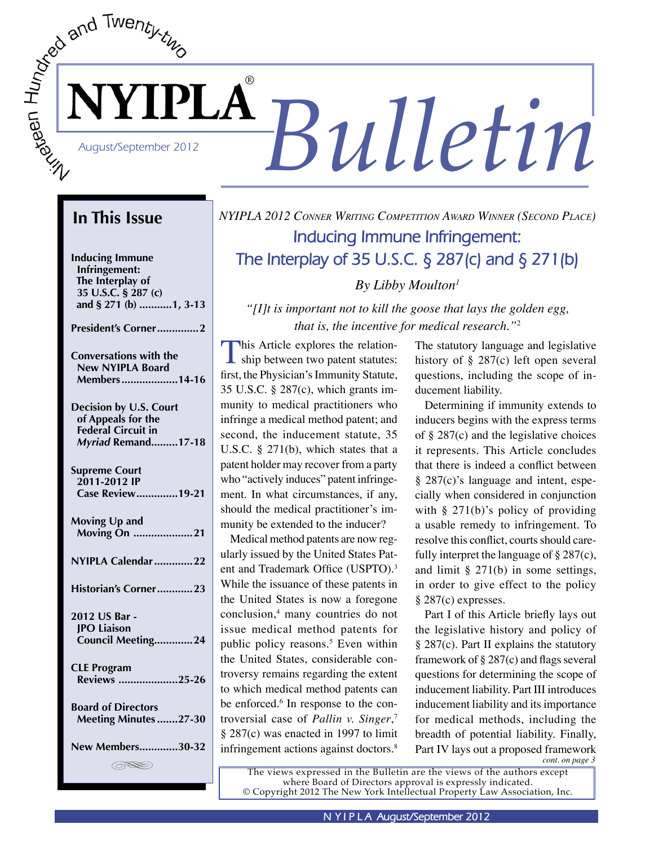

## **In This Issue**

**Inducing Immune Infringement: The Interplay of 35 U.S.C. § 287 (c) and § 271 (b) ...........1, 3-13**

**President's Corner ..............2**

| <b>Conversations with the</b> |  |
|-------------------------------|--|
| <b>New NYIPLA Board</b>       |  |
| Members14-16                  |  |
|                               |  |

**Decision by U.S. Court of Appeals for the Federal Circuit in** *Myriad* **Remand .........17-18**

| <b>Supreme Court</b><br>2011-2012 IP<br><b>Case Review19-21</b> |
|-----------------------------------------------------------------|
| Moving Up and<br>Moving On 21                                   |
| NYIPLA Calendar 22                                              |
| Historian's Corner23                                            |
| 2012 US Bar -<br><b>JPO Liaison</b><br>Council Meeting24        |
| <b>CLE Program</b><br><b>Reviews 25-26</b>                      |
| <b>Board of Directors</b><br><b>Meeting Minutes 27-30</b>       |
| <b>New Members30-32</b>                                         |
| (SSS)                                                           |

# *NYIPLA 2012 CONNER WRITING COMPETITION AWARD WINNER (SECOND PLACE)* **Inducing Immune Infringement: The Interplay of 35 U.S.C. § 287(c) and § 271(b)**

*By Libby Moulton1*

*"[I]t is important not to kill the goose that lays the golden egg, that is, the incentive for medical research."*<sup>2</sup>

This Article explores the relationship between two patent statutes: first, the Physician's Immunity Statute, 35 U.S.C. § 287(c), which grants immunity to medical practitioners who infringe a medical method patent; and second, the inducement statute, 35 U.S.C. § 271(b), which states that a patent holder may recover from a party who "actively induces" patent infringement. In what circumstances, if any, should the medical practitioner's immunity be extended to the inducer?

Medical method patents are now regularly issued by the United States Patent and Trademark Office (USPTO).3 While the issuance of these patents in the United States is now a foregone conclusion,4 many countries do not issue medical method patents for public policy reasons.5 Even within the United States, considerable controversy remains regarding the extent to which medical method patents can be enforced.<sup>6</sup> In response to the controversial case of *Pallin v. Singer*, 7 § 287(c) was enacted in 1997 to limit infringement actions against doctors.<sup>8</sup>

The statutory language and legislative history of § 287(c) left open several questions, including the scope of inducement liability.

Determining if immunity extends to inducers begins with the express terms of § 287(c) and the legislative choices it represents. This Article concludes that there is indeed a conflict between § 287(c)'s language and intent, especially when considered in conjunction with  $\S$  271(b)'s policy of providing a usable remedy to infringement. To resolve this conflict, courts should carefully interpret the language of § 287(c), and limit § 271(b) in some settings, in order to give effect to the policy § 287(c) expresses.

*cont. on page 3* Part I of this Article briefly lays out the legislative history and policy of § 287(c). Part II explains the statutory framework of § 287(c) and flags several questions for determining the scope of inducement liability. Part III introduces inducement liability and its importance for medical methods, including the breadth of potential liability. Finally, Part IV lays out a proposed framework

The views expressed in the Bulletin are the views of the authors except where Board of Directors approval is expressly indicated. © Copyright 2012 The New York Intellectual Property Law Association, Inc.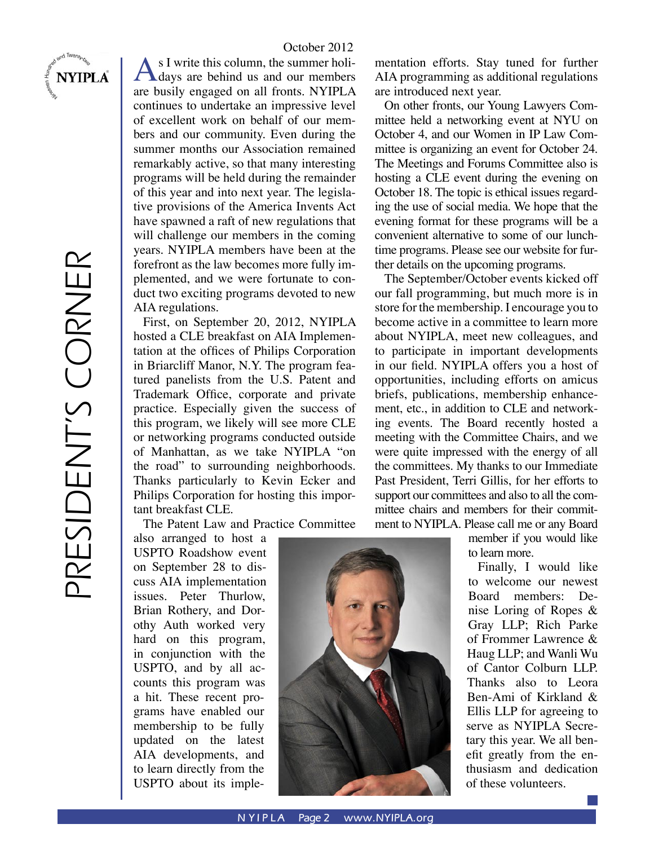# PRESIDENT'S CORNER PRESIDENT'S CORNER

**NYIPLA** 

#### October 2012

s I write this column, the summer holidays are behind us and our members are busily engaged on all fronts. NYIPLA continues to undertake an impressive level of excellent work on behalf of our members and our community. Even during the summer months our Association remained remarkably active, so that many interesting programs will be held during the remainder of this year and into next year. The legislative provisions of the America Invents Act have spawned a raft of new regulations that will challenge our members in the coming years. NYIPLA members have been at the forefront as the law becomes more fully implemented, and we were fortunate to conduct two exciting programs devoted to new AIA regulations.

First, on September 20, 2012, NYIPLA hosted a CLE breakfast on AIA Implementation at the offices of Philips Corporation in Briarcliff Manor, N.Y. The program featured panelists from the U.S. Patent and Trademark Office, corporate and private practice. Especially given the success of this program, we likely will see more CLE or networking programs conducted outside of Manhattan, as we take NYIPLA "on the road" to surrounding neighborhoods. Thanks particularly to Kevin Ecker and Philips Corporation for hosting this important breakfast CLE.

The Patent Law and Practice Committee

also arranged to host a USPTO Roadshow event on September 28 to discuss AIA implementation issues. Peter Thurlow, Brian Rothery, and Dorothy Auth worked very hard on this program, in conjunction with the USPTO, and by all accounts this program was a hit. These recent programs have enabled our membership to be fully updated on the latest AIA developments, and to learn directly from the USPTO about its implementation efforts. Stay tuned for further AIA programming as additional regulations are introduced next year.

On other fronts, our Young Lawyers Committee held a networking event at NYU on October 4, and our Women in IP Law Committee is organizing an event for October 24. The Meetings and Forums Committee also is hosting a CLE event during the evening on October 18. The topic is ethical issues regarding the use of social media. We hope that the evening format for these programs will be a convenient alternative to some of our lunchtime programs. Please see our website for further details on the upcoming programs.

The September/October events kicked off our fall programming, but much more is in store for the membership. I encourage you to become active in a committee to learn more about NYIPLA, meet new colleagues, and to participate in important developments in our field. NYIPLA offers you a host of opportunities, including efforts on amicus briefs, publications, membership enhancement, etc., in addition to CLE and networking events. The Board recently hosted a meeting with the Committee Chairs, and we were quite impressed with the energy of all the committees. My thanks to our Immediate Past President, Terri Gillis, for her efforts to support our committees and also to all the committee chairs and members for their commitment to NYIPLA. Please call me or any Board

member if you would like to learn more.

Finally, I would like to welcome our newest Board members: Denise Loring of Ropes & Gray LLP; Rich Parke of Frommer Lawrence & Haug LLP; and Wanli Wu of Cantor Colburn LLP. Thanks also to Leora Ben-Ami of Kirkland & Ellis LLP for agreeing to serve as NYIPLA Secretary this year. We all benefit greatly from the enthusiasm and dedication of these volunteers.

**N YIPLA** Page 2 www.NYIPLA.org

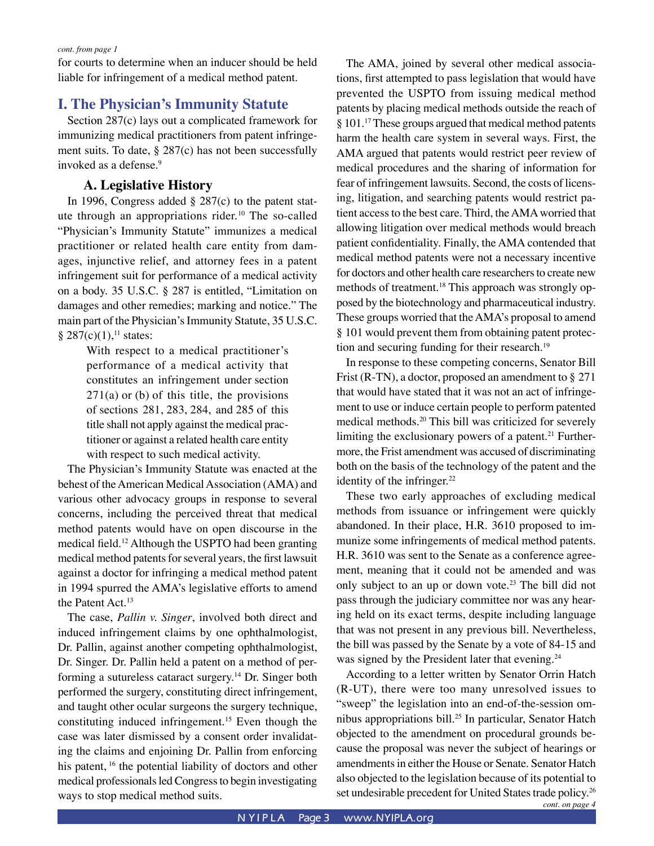for courts to determine when an inducer should be held liable for infringement of a medical method patent.

#### **I. The Physician's Immunity Statute**

Section 287(c) lays out a complicated framework for immunizing medical practitioners from patent infringement suits. To date, § 287(c) has not been successfully invoked as a defense.<sup>9</sup>

#### **A. Legislative History**

In 1996, Congress added § 287(c) to the patent statute through an appropriations rider.<sup>10</sup> The so-called "Physician's Immunity Statute" immunizes a medical practitioner or related health care entity from damages, injunctive relief, and attorney fees in a patent infringement suit for performance of a medical activity on a body. 35 U.S.C. § 287 is entitled, "Limitation on damages and other remedies; marking and notice." The main part of the Physician's Immunity Statute, 35 U.S.C.  $§ 287(c)(1),<sup>11</sup> states:$ 

> With respect to a medical practitioner's performance of a medical activity that constitutes an infringement under section  $271(a)$  or (b) of this title, the provisions of sections 281, 283, 284, and 285 of this title shall not apply against the medical practitioner or against a related health care entity with respect to such medical activity.

The Physician's Immunity Statute was enacted at the behest of the American Medical Association (AMA) and various other advocacy groups in response to several concerns, including the perceived threat that medical method patents would have on open discourse in the medical field.12 Although the USPTO had been granting medical method patents for several years, the first lawsuit against a doctor for infringing a medical method patent in 1994 spurred the AMA's legislative efforts to amend the Patent Act.13

The case, *Pallin v. Singer*, involved both direct and induced infringement claims by one ophthalmologist, Dr. Pallin, against another competing ophthalmologist, Dr. Singer. Dr. Pallin held a patent on a method of performing a sutureless cataract surgery.14 Dr. Singer both performed the surgery, constituting direct infringement, and taught other ocular surgeons the surgery technique, constituting induced infringement.<sup>15</sup> Even though the case was later dismissed by a consent order invalidating the claims and enjoining Dr. Pallin from enforcing his patent, <sup>16</sup> the potential liability of doctors and other medical professionals led Congress to begin investigating ways to stop medical method suits.

The AMA, joined by several other medical associations, first attempted to pass legislation that would have prevented the USPTO from issuing medical method patents by placing medical methods outside the reach of § 101.<sup>17</sup> These groups argued that medical method patents harm the health care system in several ways. First, the AMA argued that patents would restrict peer review of medical procedures and the sharing of information for fear of infringement lawsuits. Second, the costs of licensing, litigation, and searching patents would restrict patient access to the best care. Third, the AMA worried that allowing litigation over medical methods would breach patient confidentiality. Finally, the AMA contended that medical method patents were not a necessary incentive for doctors and other health care researchers to create new methods of treatment.<sup>18</sup> This approach was strongly opposed by the biotechnology and pharmaceutical industry. These groups worried that the AMA's proposal to amend § 101 would prevent them from obtaining patent protection and securing funding for their research.<sup>19</sup>

In response to these competing concerns, Senator Bill Frist (R-TN), a doctor, proposed an amendment to § 271 that would have stated that it was not an act of infringement to use or induce certain people to perform patented medical methods.20 This bill was criticized for severely limiting the exclusionary powers of a patent.<sup>21</sup> Furthermore, the Frist amendment was accused of discriminating both on the basis of the technology of the patent and the identity of the infringer.<sup>22</sup>

These two early approaches of excluding medical methods from issuance or infringement were quickly abandoned. In their place, H.R. 3610 proposed to immunize some infringements of medical method patents. H.R. 3610 was sent to the Senate as a conference agreement, meaning that it could not be amended and was only subject to an up or down vote.<sup>23</sup> The bill did not pass through the judiciary committee nor was any hearing held on its exact terms, despite including language that was not present in any previous bill. Nevertheless, the bill was passed by the Senate by a vote of 84-15 and was signed by the President later that evening.<sup>24</sup>

*cont. on page 4* According to a letter written by Senator Orrin Hatch (R-UT), there were too many unresolved issues to "sweep" the legislation into an end-of-the-session omnibus appropriations bill.25 In particular, Senator Hatch objected to the amendment on procedural grounds because the proposal was never the subject of hearings or amendments in either the House or Senate. Senator Hatch also objected to the legislation because of its potential to set undesirable precedent for United States trade policy.<sup>26</sup>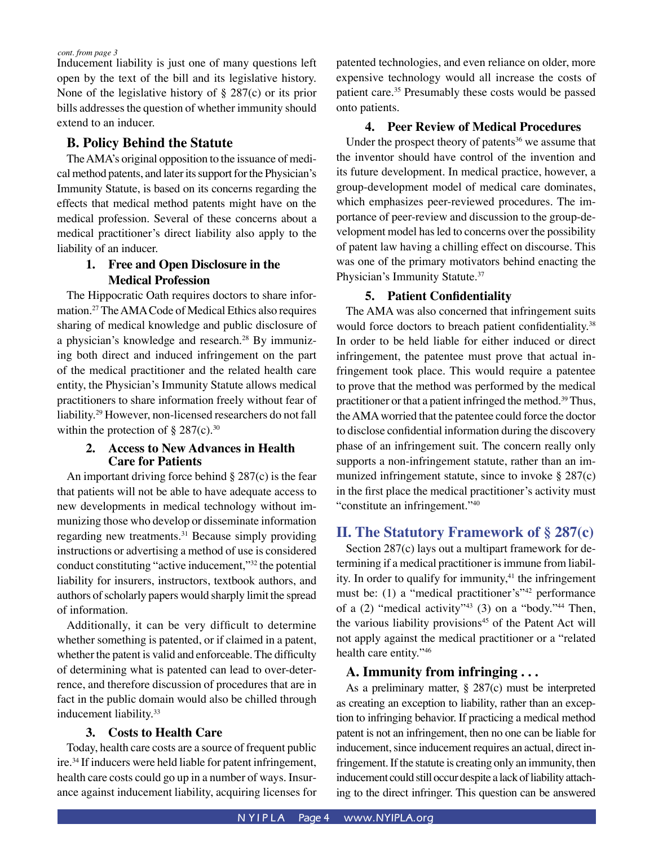Inducement liability is just one of many questions left open by the text of the bill and its legislative history. None of the legislative history of § 287(c) or its prior bills addresses the question of whether immunity should extend to an inducer.

#### **B. Policy Behind the Statute**

The AMA's original opposition to the issuance of medical method patents, and later its support for the Physician's Immunity Statute, is based on its concerns regarding the effects that medical method patents might have on the medical profession. Several of these concerns about a medical practitioner's direct liability also apply to the liability of an inducer.

#### **1. Free and Open Disclosure in the Medical Profession**

The Hippocratic Oath requires doctors to share information.27 The AMA Code of Medical Ethics also requires sharing of medical knowledge and public disclosure of a physician's knowledge and research.<sup>28</sup> By immunizing both direct and induced infringement on the part of the medical practitioner and the related health care entity, the Physician's Immunity Statute allows medical practitioners to share information freely without fear of liability.29 However, non-licensed researchers do not fall within the protection of  $\S 287(c)$ .<sup>30</sup>

#### **2. Access to New Advances in Health Care for Patients**

An important driving force behind § 287(c) is the fear that patients will not be able to have adequate access to new developments in medical technology without immunizing those who develop or disseminate information regarding new treatments.<sup>31</sup> Because simply providing instructions or advertising a method of use is considered conduct constituting "active inducement,"32 the potential liability for insurers, instructors, textbook authors, and authors of scholarly papers would sharply limit the spread of information.

Additionally, it can be very difficult to determine whether something is patented, or if claimed in a patent, whether the patent is valid and enforceable. The difficulty of determining what is patented can lead to over-deterrence, and therefore discussion of procedures that are in fact in the public domain would also be chilled through inducement liability.<sup>33</sup>

#### **3. Costs to Health Care**

Today, health care costs are a source of frequent public ire.34 If inducers were held liable for patent infringement, health care costs could go up in a number of ways. Insurance against inducement liability, acquiring licenses for patented technologies, and even reliance on older, more expensive technology would all increase the costs of patient care.<sup>35</sup> Presumably these costs would be passed onto patients.

#### **4. Peer Review of Medical Procedures**

Under the prospect theory of patents<sup>36</sup> we assume that the inventor should have control of the invention and its future development. In medical practice, however, a group-development model of medical care dominates, which emphasizes peer-reviewed procedures. The importance of peer-review and discussion to the group-development model has led to concerns over the possibility of patent law having a chilling effect on discourse. This was one of the primary motivators behind enacting the Physician's Immunity Statute.<sup>37</sup>

#### **5. Patient Confidentiality**

The AMA was also concerned that infringement suits would force doctors to breach patient confidentiality.<sup>38</sup> In order to be held liable for either induced or direct infringement, the patentee must prove that actual infringement took place. This would require a patentee to prove that the method was performed by the medical practitioner or that a patient infringed the method.39 Thus, the AMA worried that the patentee could force the doctor to disclose confidential information during the discovery phase of an infringement suit. The concern really only supports a non-infringement statute, rather than an immunized infringement statute, since to invoke  $\S 287(c)$ in the first place the medical practitioner's activity must "constitute an infringement."40

#### **II. The Statutory Framework of § 287(c)**

Section 287(c) lays out a multipart framework for determining if a medical practitioner is immune from liability. In order to qualify for immunity, $41$  the infringement must be: (1) a "medical practitioner's"<sup>42</sup> performance of a  $(2)$  "medical activity"<sup>43</sup>  $(3)$  on a "body."<sup>44</sup> Then, the various liability provisions<sup>45</sup> of the Patent Act will not apply against the medical practitioner or a "related health care entity."46

#### **A. Immunity from infringing . . .**

As a preliminary matter, § 287(c) must be interpreted as creating an exception to liability, rather than an exception to infringing behavior. If practicing a medical method patent is not an infringement, then no one can be liable for inducement, since inducement requires an actual, direct infringement. If the statute is creating only an immunity, then inducement could still occur despite a lack of liability attaching to the direct infringer. This question can be answered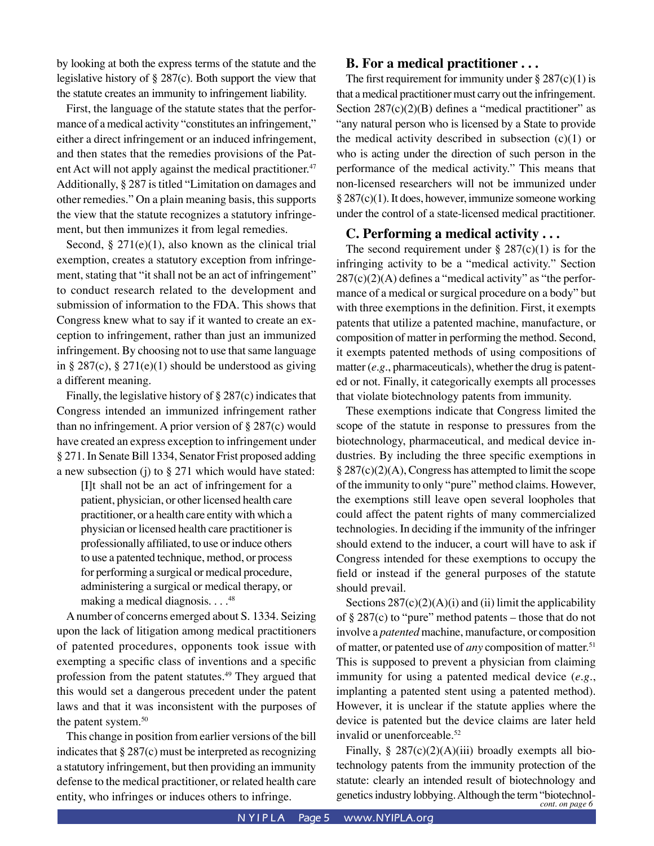by looking at both the express terms of the statute and the legislative history of § 287(c). Both support the view that the statute creates an immunity to infringement liability.

First, the language of the statute states that the performance of a medical activity "constitutes an infringement," either a direct infringement or an induced infringement, and then states that the remedies provisions of the Patent Act will not apply against the medical practitioner.<sup>47</sup> Additionally, § 287 is titled "Limitation on damages and other remedies." On a plain meaning basis, this supports the view that the statute recognizes a statutory infringement, but then immunizes it from legal remedies.

Second,  $\S 271(e)(1)$ , also known as the clinical trial exemption, creates a statutory exception from infringement, stating that "it shall not be an act of infringement" to conduct research related to the development and submission of information to the FDA. This shows that Congress knew what to say if it wanted to create an exception to infringement, rather than just an immunized infringement. By choosing not to use that same language in § 287(c), § 271(e)(1) should be understood as giving a different meaning.

Finally, the legislative history of § 287(c) indicates that Congress intended an immunized infringement rather than no infringement. A prior version of  $\S 287(c)$  would have created an express exception to infringement under § 271. In Senate Bill 1334, Senator Frist proposed adding a new subsection (j) to  $\S 271$  which would have stated:

[I]t shall not be an act of infringement for a patient, physician, or other licensed health care practitioner, or a health care entity with which a physician or licensed health care practitioner is professionally affiliated, to use or induce others to use a patented technique, method, or process for performing a surgical or medical procedure, administering a surgical or medical therapy, or making a medical diagnosis.  $\ldots$ <sup>48</sup>

A number of concerns emerged about S. 1334. Seizing upon the lack of litigation among medical practitioners of patented procedures, opponents took issue with exempting a specific class of inventions and a specific profession from the patent statutes.<sup>49</sup> They argued that this would set a dangerous precedent under the patent laws and that it was inconsistent with the purposes of the patent system.<sup>50</sup>

This change in position from earlier versions of the bill indicates that § 287(c) must be interpreted as recognizing a statutory infringement, but then providing an immunity defense to the medical practitioner, or related health care entity, who infringes or induces others to infringe.

#### **B. For a medical practitioner . . .**

The first requirement for immunity under  $\S 287(c)(1)$  is that a medical practitioner must carry out the infringement. Section  $287(c)(2)(B)$  defines a "medical practitioner" as "any natural person who is licensed by a State to provide the medical activity described in subsection  $(c)(1)$  or who is acting under the direction of such person in the performance of the medical activity." This means that non-licensed researchers will not be immunized under § 287(c)(1). It does, however, immunize someone working under the control of a state-licensed medical practitioner.

#### **C. Performing a medical activity . . .**

The second requirement under  $\S 287(c)(1)$  is for the infringing activity to be a "medical activity." Section  $287(c)(2)(A)$  defines a "medical activity" as "the performance of a medical or surgical procedure on a body" but with three exemptions in the definition. First, it exempts patents that utilize a patented machine, manufacture, or composition of matter in performing the method. Second, it exempts patented methods of using compositions of matter (*e.g.*, pharmaceuticals), whether the drug is patented or not. Finally, it categorically exempts all processes that violate biotechnology patents from immunity.

These exemptions indicate that Congress limited the scope of the statute in response to pressures from the biotechnology, pharmaceutical, and medical device industries. By including the three specific exemptions in § 287(c)(2)(A), Congress has attempted to limit the scope of the immunity to only "pure" method claims. However, the exemptions still leave open several loopholes that could affect the patent rights of many commercialized technologies. In deciding if the immunity of the infringer should extend to the inducer, a court will have to ask if Congress intended for these exemptions to occupy the field or instead if the general purposes of the statute should prevail.

Sections  $287(c)(2)(A)(i)$  and (ii) limit the applicability of § 287(c) to "pure" method patents – those that do not involve a *patented* machine, manufacture, or composition of matter, or patented use of *any* composition of matter.<sup>51</sup> This is supposed to prevent a physician from claiming immunity for using a patented medical device (*e.g.*, implanting a patented stent using a patented method). However, it is unclear if the statute applies where the device is patented but the device claims are later held invalid or unenforceable.<sup>52</sup>

*cont. on page 6* Finally,  $\S 287(c)(2)(A)(iii)$  broadly exempts all biotechnology patents from the immunity protection of the statute: clearly an intended result of biotechnology and genetics industry lobbying. Although the term "biotechnol-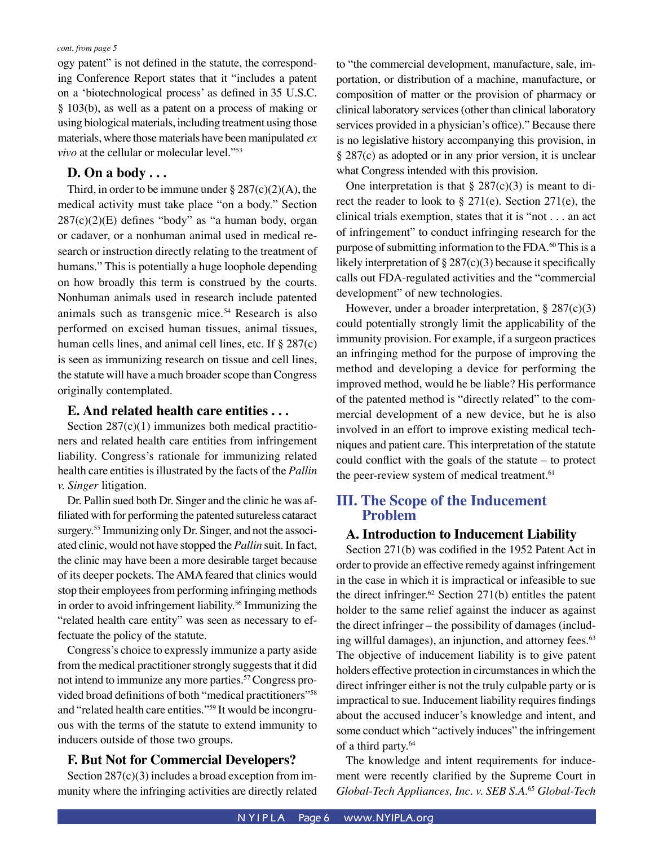ogy patent" is not defined in the statute, the corresponding Conference Report states that it "includes a patent on a 'biotechnological process' as defined in 35 U.S.C. § 103(b), as well as a patent on a process of making or using biological materials, including treatment using those materials, where those materials have been manipulated *ex vivo* at the cellular or molecular level."53

#### **D. On a body . . .**

Third, in order to be immune under  $\S 287(c)(2)(A)$ , the medical activity must take place "on a body." Section 287(c)(2)(E) defines "body" as "a human body, organ or cadaver, or a nonhuman animal used in medical research or instruction directly relating to the treatment of humans." This is potentially a huge loophole depending on how broadly this term is construed by the courts. Nonhuman animals used in research include patented animals such as transgenic mice.<sup>54</sup> Research is also performed on excised human tissues, animal tissues, human cells lines, and animal cell lines, etc. If § 287(c) is seen as immunizing research on tissue and cell lines, the statute will have a much broader scope than Congress originally contemplated.

#### **E. And related health care entities . . .**

Section 287(c)(1) immunizes both medical practitioners and related health care entities from infringement liability. Congress's rationale for immunizing related health care entities is illustrated by the facts of the *Pallin v. Singer* litigation.

Dr. Pallin sued both Dr. Singer and the clinic he was affiliated with for performing the patented sutureless cataract surgery.55 Immunizing only Dr. Singer, and not the associated clinic, would not have stopped the *Pallin* suit. In fact, the clinic may have been a more desirable target because of its deeper pockets. The AMA feared that clinics would stop their employees from performing infringing methods in order to avoid infringement liability.<sup>56</sup> Immunizing the "related health care entity" was seen as necessary to effectuate the policy of the statute.

 Congress's choice to expressly immunize a party aside from the medical practitioner strongly suggests that it did not intend to immunize any more parties.<sup>57</sup> Congress provided broad definitions of both "medical practitioners"58 and "related health care entities."59 It would be incongruous with the terms of the statute to extend immunity to inducers outside of those two groups.

#### **F. But Not for Commercial Developers?**

Section  $287(c)(3)$  includes a broad exception from immunity where the infringing activities are directly related to "the commercial development, manufacture, sale, importation, or distribution of a machine, manufacture, or composition of matter or the provision of pharmacy or clinical laboratory services (other than clinical laboratory services provided in a physician's office)." Because there is no legislative history accompanying this provision, in § 287(c) as adopted or in any prior version, it is unclear what Congress intended with this provision.

One interpretation is that  $\S 287(c)(3)$  is meant to direct the reader to look to § 271(e). Section 271(e), the clinical trials exemption, states that it is "not . . . an act of infringement" to conduct infringing research for the purpose of submitting information to the FDA.<sup>60</sup> This is a likely interpretation of  $\S 287(c)(3)$  because it specifically calls out FDA-regulated activities and the "commercial development" of new technologies.

However, under a broader interpretation, § 287(c)(3) could potentially strongly limit the applicability of the immunity provision. For example, if a surgeon practices an infringing method for the purpose of improving the method and developing a device for performing the improved method, would he be liable? His performance of the patented method is "directly related" to the commercial development of a new device, but he is also involved in an effort to improve existing medical techniques and patient care. This interpretation of the statute could conflict with the goals of the statute – to protect the peer-review system of medical treatment.<sup>61</sup>

#### **III. The Scope of the Inducement Problem**

#### **A. Introduction to Inducement Liability**

Section 271(b) was codified in the 1952 Patent Act in order to provide an effective remedy against infringement in the case in which it is impractical or infeasible to sue the direct infringer. $62$  Section 271(b) entitles the patent holder to the same relief against the inducer as against the direct infringer – the possibility of damages (including willful damages), an injunction, and attorney fees.<sup>63</sup> The objective of inducement liability is to give patent holders effective protection in circumstances in which the direct infringer either is not the truly culpable party or is impractical to sue. Inducement liability requires findings about the accused inducer's knowledge and intent, and some conduct which "actively induces" the infringement of a third party.<sup>64</sup>

The knowledge and intent requirements for inducement were recently clarified by the Supreme Court in *Global-Tech Appliances, Inc. v. SEB S.A*. <sup>65</sup> *Global-Tech*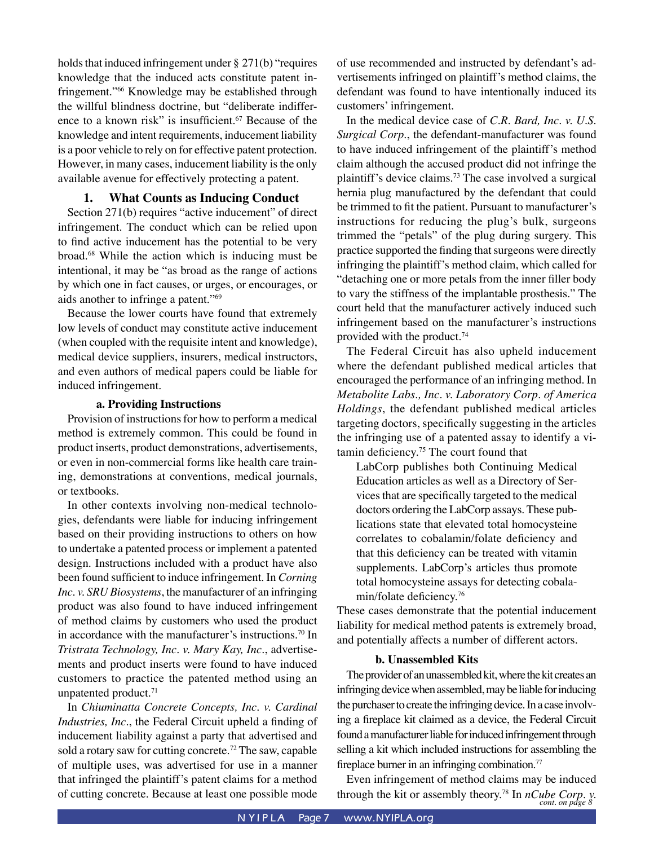holds that induced infringement under  $\S 271(b)$  "requires knowledge that the induced acts constitute patent infringement."66 Knowledge may be established through the willful blindness doctrine, but "deliberate indifference to a known risk" is insufficient.<sup>67</sup> Because of the knowledge and intent requirements, inducement liability is a poor vehicle to rely on for effective patent protection. However, in many cases, inducement liability is the only available avenue for effectively protecting a patent.

#### **1. What Counts as Inducing Conduct**

Section 271(b) requires "active inducement" of direct infringement. The conduct which can be relied upon to find active inducement has the potential to be very broad.68 While the action which is inducing must be intentional, it may be "as broad as the range of actions by which one in fact causes, or urges, or encourages, or aids another to infringe a patent."69

Because the lower courts have found that extremely low levels of conduct may constitute active inducement (when coupled with the requisite intent and knowledge), medical device suppliers, insurers, medical instructors, and even authors of medical papers could be liable for induced infringement.

#### **a. Providing Instructions**

Provision of instructions for how to perform a medical method is extremely common. This could be found in product inserts, product demonstrations, advertisements, or even in non-commercial forms like health care training, demonstrations at conventions, medical journals, or textbooks.

In other contexts involving non-medical technologies, defendants were liable for inducing infringement based on their providing instructions to others on how to undertake a patented process or implement a patented design. Instructions included with a product have also been found sufficient to induce infringement. In *Corning Inc. v. SRU Biosystems*, the manufacturer of an infringing product was also found to have induced infringement of method claims by customers who used the product in accordance with the manufacturer's instructions.70 In *Tristrata Technology, Inc. v. Mary Kay, Inc.*, advertisements and product inserts were found to have induced customers to practice the patented method using an unpatented product.<sup>71</sup>

In *Chiuminatta Concrete Concepts, Inc. v. Cardinal Industries, Inc.*, the Federal Circuit upheld a finding of inducement liability against a party that advertised and sold a rotary saw for cutting concrete.<sup>72</sup> The saw, capable of multiple uses, was advertised for use in a manner that infringed the plaintiff's patent claims for a method of cutting concrete. Because at least one possible mode of use recommended and instructed by defendant's advertisements infringed on plaintiff's method claims, the defendant was found to have intentionally induced its customers' infringement.

In the medical device case of *C.R. Bard, Inc. v. U.S. Surgical Corp.*, the defendant-manufacturer was found to have induced infringement of the plaintiff's method claim although the accused product did not infringe the plaintiff's device claims.73 The case involved a surgical hernia plug manufactured by the defendant that could be trimmed to fit the patient. Pursuant to manufacturer's instructions for reducing the plug's bulk, surgeons trimmed the "petals" of the plug during surgery. This practice supported the finding that surgeons were directly infringing the plaintiff's method claim, which called for "detaching one or more petals from the inner filler body to vary the stiffness of the implantable prosthesis." The court held that the manufacturer actively induced such infringement based on the manufacturer's instructions provided with the product.74

The Federal Circuit has also upheld inducement where the defendant published medical articles that encouraged the performance of an infringing method. In *Metabolite Labs., Inc. v. Laboratory Corp. of America Holdings*, the defendant published medical articles targeting doctors, specifically suggesting in the articles the infringing use of a patented assay to identify a vitamin deficiency.75 The court found that

LabCorp publishes both Continuing Medical Education articles as well as a Directory of Services that are specifically targeted to the medical doctors ordering the LabCorp assays. These publications state that elevated total homocysteine correlates to cobalamin/folate deficiency and that this deficiency can be treated with vitamin supplements. LabCorp's articles thus promote total homocysteine assays for detecting cobalamin/folate deficiency.76

These cases demonstrate that the potential inducement liability for medical method patents is extremely broad, and potentially affects a number of different actors.

#### **b. Unassembled Kits**

The provider of an unassembled kit, where the kit creates an infringing device when assembled, may be liable for inducing the purchaser to create the infringing device. In a case involving a fireplace kit claimed as a device, the Federal Circuit found a manufacturer liable for induced infringement through selling a kit which included instructions for assembling the fireplace burner in an infringing combination.<sup>77</sup>

through the kit or assembly theory.<sup>78</sup> In *nCube Corp. v.*  $_{cont.~on~page~8}^{v}$ Even infringement of method claims may be induced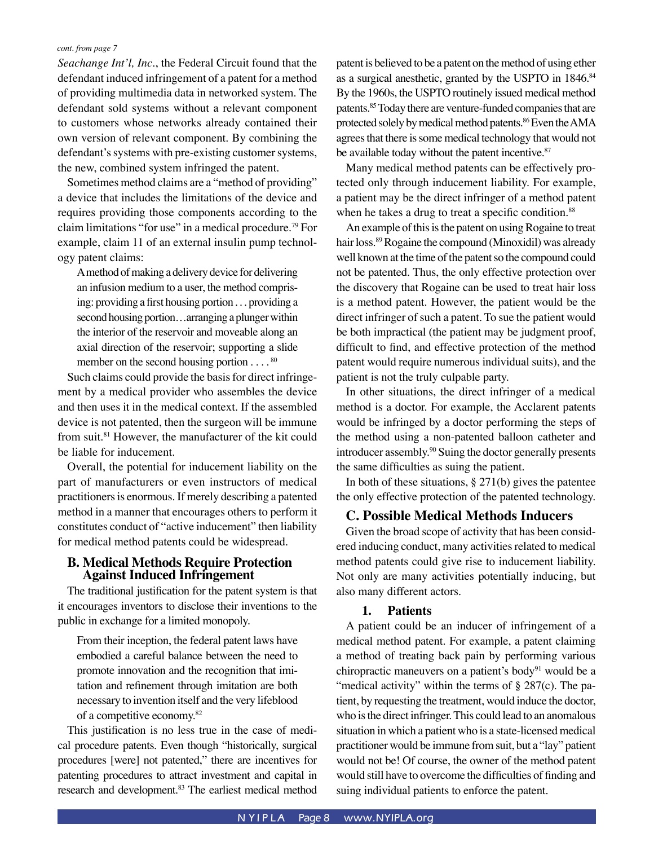*Seachange Int'l, Inc.*, the Federal Circuit found that the defendant induced infringement of a patent for a method of providing multimedia data in networked system. The defendant sold systems without a relevant component to customers whose networks already contained their own version of relevant component. By combining the defendant's systems with pre-existing customer systems, the new, combined system infringed the patent.

Sometimes method claims are a "method of providing" a device that includes the limitations of the device and requires providing those components according to the claim limitations "for use" in a medical procedure.79 For example, claim 11 of an external insulin pump technology patent claims:

A method of making a delivery device for delivering an infusion medium to a user, the method comprising: providing a first housing portion . . . providing a second housing portion…arranging a plunger within the interior of the reservoir and moveable along an axial direction of the reservoir; supporting a slide member on the second housing portion  $\dots$ .  $80$ 

Such claims could provide the basis for direct infringement by a medical provider who assembles the device and then uses it in the medical context. If the assembled device is not patented, then the surgeon will be immune from suit.81 However, the manufacturer of the kit could be liable for inducement.

Overall, the potential for inducement liability on the part of manufacturers or even instructors of medical practitioners is enormous. If merely describing a patented method in a manner that encourages others to perform it constitutes conduct of "active inducement" then liability for medical method patents could be widespread.

#### **B. Medical Methods Require Protection Against Induced Infringement**

The traditional justification for the patent system is that it encourages inventors to disclose their inventions to the public in exchange for a limited monopoly.

From their inception, the federal patent laws have embodied a careful balance between the need to promote innovation and the recognition that imitation and refinement through imitation are both necessary to invention itself and the very lifeblood of a competitive economy.82

This justification is no less true in the case of medical procedure patents. Even though "historically, surgical procedures [were] not patented," there are incentives for patenting procedures to attract investment and capital in research and development.<sup>83</sup> The earliest medical method patent is believed to be a patent on the method of using ether as a surgical anesthetic, granted by the USPTO in 1846.84 By the 1960s, the USPTO routinely issued medical method patents.85 Today there are venture-funded companies that are protected solely by medical method patents.<sup>86</sup> Even the AMA agrees that there is some medical technology that would not be available today without the patent incentive.<sup>87</sup>

Many medical method patents can be effectively protected only through inducement liability. For example, a patient may be the direct infringer of a method patent when he takes a drug to treat a specific condition.<sup>88</sup>

An example of this is the patent on using Rogaine to treat hair loss.89 Rogaine the compound (Minoxidil) was already well known at the time of the patent so the compound could not be patented. Thus, the only effective protection over the discovery that Rogaine can be used to treat hair loss is a method patent. However, the patient would be the direct infringer of such a patent. To sue the patient would be both impractical (the patient may be judgment proof, difficult to find, and effective protection of the method patent would require numerous individual suits), and the patient is not the truly culpable party.

In other situations, the direct infringer of a medical method is a doctor. For example, the Acclarent patents would be infringed by a doctor performing the steps of the method using a non-patented balloon catheter and introducer assembly.<sup>90</sup> Suing the doctor generally presents the same difficulties as suing the patient.

In both of these situations,  $\S 271(b)$  gives the patentee the only effective protection of the patented technology.

#### **C. Possible Medical Methods Inducers**

Given the broad scope of activity that has been considered inducing conduct, many activities related to medical method patents could give rise to inducement liability. Not only are many activities potentially inducing, but also many different actors.

#### **1. Patients**

A patient could be an inducer of infringement of a medical method patent. For example, a patent claiming a method of treating back pain by performing various chiropractic maneuvers on a patient's body<sup>91</sup> would be a "medical activity" within the terms of  $\S 287(c)$ . The patient, by requesting the treatment, would induce the doctor, who is the direct infringer. This could lead to an anomalous situation in which a patient who is a state-licensed medical practitioner would be immune from suit, but a "lay" patient would not be! Of course, the owner of the method patent would still have to overcome the difficulties of finding and suing individual patients to enforce the patent.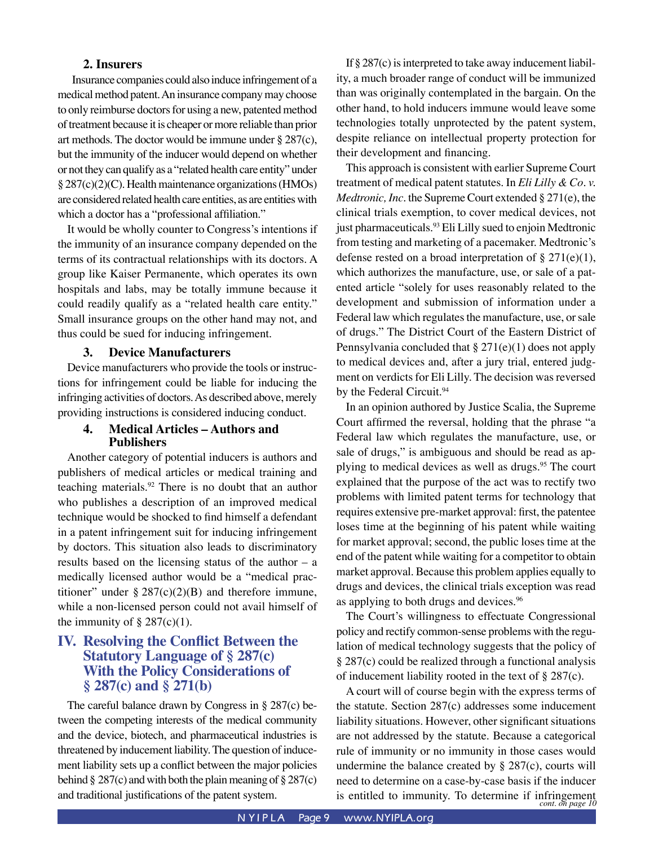#### **2. Insurers**

Insurance companies could also induce infringement of a medical method patent. An insurance company may choose to only reimburse doctors for using a new, patented method of treatment because it is cheaper or more reliable than prior art methods. The doctor would be immune under § 287(c), but the immunity of the inducer would depend on whether or not they can qualify as a "related health care entity" under § 287(c)(2)(C). Health maintenance organizations (HMOs) are considered related health care entities, as are entities with which a doctor has a "professional affiliation."

It would be wholly counter to Congress's intentions if the immunity of an insurance company depended on the terms of its contractual relationships with its doctors. A group like Kaiser Permanente, which operates its own hospitals and labs, may be totally immune because it could readily qualify as a "related health care entity." Small insurance groups on the other hand may not, and thus could be sued for inducing infringement.

#### **3. Device Manufacturers**

Device manufacturers who provide the tools or instructions for infringement could be liable for inducing the infringing activities of doctors. As described above, merely providing instructions is considered inducing conduct.

#### **4. Medical Articles – Authors and Publishers**

Another category of potential inducers is authors and publishers of medical articles or medical training and teaching materials.92 There is no doubt that an author who publishes a description of an improved medical technique would be shocked to find himself a defendant in a patent infringement suit for inducing infringement by doctors. This situation also leads to discriminatory results based on the licensing status of the author – a medically licensed author would be a "medical practitioner" under  $\S 287(c)(2)(B)$  and therefore immune, while a non-licensed person could not avail himself of the immunity of  $\S 287(c)(1)$ .

#### **IV. Resolving the Conflict Between the Statutory Language of § 287(c) With the Policy Considerations of § 287(c) and § 271(b)**

The careful balance drawn by Congress in § 287(c) between the competing interests of the medical community and the device, biotech, and pharmaceutical industries is threatened by inducement liability. The question of inducement liability sets up a conflict between the major policies behind  $\S 287(c)$  and with both the plain meaning of  $\S 287(c)$ and traditional justifications of the patent system.

If  $\S 287(c)$  is interpreted to take away inducement liability, a much broader range of conduct will be immunized than was originally contemplated in the bargain. On the other hand, to hold inducers immune would leave some technologies totally unprotected by the patent system, despite reliance on intellectual property protection for their development and financing.

This approach is consistent with earlier Supreme Court treatment of medical patent statutes. In *Eli Lilly & Co. v. Medtronic, Inc.* the Supreme Court extended § 271(e), the clinical trials exemption, to cover medical devices, not just pharmaceuticals.<sup>93</sup> Eli Lilly sued to enjoin Medtronic from testing and marketing of a pacemaker. Medtronic's defense rested on a broad interpretation of  $\S 271(e)(1)$ , which authorizes the manufacture, use, or sale of a patented article "solely for uses reasonably related to the development and submission of information under a Federal law which regulates the manufacture, use, or sale of drugs." The District Court of the Eastern District of Pennsylvania concluded that § 271(e)(1) does not apply to medical devices and, after a jury trial, entered judgment on verdicts for Eli Lilly. The decision was reversed by the Federal Circuit.<sup>94</sup>

In an opinion authored by Justice Scalia, the Supreme Court affirmed the reversal, holding that the phrase "a Federal law which regulates the manufacture, use, or sale of drugs," is ambiguous and should be read as applying to medical devices as well as drugs.<sup>95</sup> The court explained that the purpose of the act was to rectify two problems with limited patent terms for technology that requires extensive pre-market approval: first, the patentee loses time at the beginning of his patent while waiting for market approval; second, the public loses time at the end of the patent while waiting for a competitor to obtain market approval. Because this problem applies equally to drugs and devices, the clinical trials exception was read as applying to both drugs and devices.<sup>96</sup>

The Court's willingness to effectuate Congressional policy and rectify common-sense problems with the regulation of medical technology suggests that the policy of § 287(c) could be realized through a functional analysis of inducement liability rooted in the text of § 287(c).

is entitled to immunity. To determine if infringement *cont. on page 10* A court will of course begin with the express terms of the statute. Section 287(c) addresses some inducement liability situations. However, other significant situations are not addressed by the statute. Because a categorical rule of immunity or no immunity in those cases would undermine the balance created by  $\S 287(c)$ , courts will need to determine on a case-by-case basis if the inducer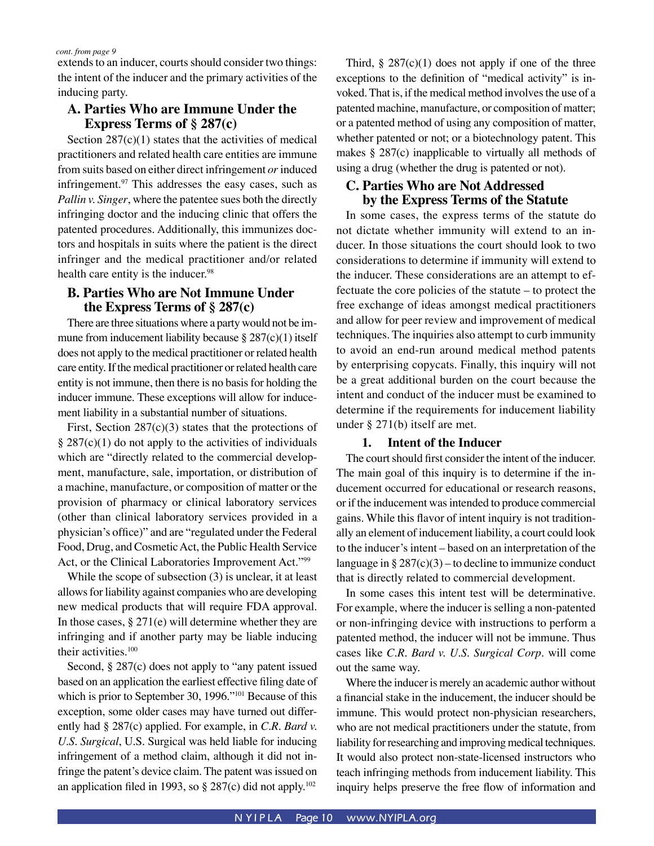extends to an inducer, courts should consider two things: the intent of the inducer and the primary activities of the inducing party.

#### **A. Parties Who are Immune Under the Express Terms of § 287(c)**

Section  $287(c)(1)$  states that the activities of medical practitioners and related health care entities are immune from suits based on either direct infringement *or* induced infringement. $97$  This addresses the easy cases, such as *Pallin v. Singer*, where the patentee sues both the directly infringing doctor and the inducing clinic that offers the patented procedures. Additionally, this immunizes doctors and hospitals in suits where the patient is the direct infringer and the medical practitioner and/or related health care entity is the inducer.<sup>98</sup>

#### **B. Parties Who are Not Immune Under the Express Terms of § 287(c)**

There are three situations where a party would not be immune from inducement liability because  $\S 287(c)(1)$  itself does not apply to the medical practitioner or related health care entity. If the medical practitioner or related health care entity is not immune, then there is no basis for holding the inducer immune. These exceptions will allow for inducement liability in a substantial number of situations.

First, Section  $287(c)(3)$  states that the protections of  $\S 287(c)(1)$  do not apply to the activities of individuals which are "directly related to the commercial development, manufacture, sale, importation, or distribution of a machine, manufacture, or composition of matter or the provision of pharmacy or clinical laboratory services (other than clinical laboratory services provided in a physician's office)" and are "regulated under the Federal Food, Drug, and Cosmetic Act, the Public Health Service Act, or the Clinical Laboratories Improvement Act."99

While the scope of subsection (3) is unclear, it at least allows for liability against companies who are developing new medical products that will require FDA approval. In those cases,  $\S 271(e)$  will determine whether they are infringing and if another party may be liable inducing their activities.100

Second, § 287(c) does not apply to "any patent issued based on an application the earliest effective filing date of which is prior to September 30, 1996."<sup>101</sup> Because of this exception, some older cases may have turned out differently had § 287(c) applied. For example, in *C.R. Bard v. U.S. Surgical*, U.S. Surgical was held liable for inducing infringement of a method claim, although it did not infringe the patent's device claim. The patent was issued on an application filed in 1993, so  $\S 287(c)$  did not apply.<sup>102</sup>

Third,  $\S 287(c)(1)$  does not apply if one of the three exceptions to the definition of "medical activity" is invoked. That is, if the medical method involves the use of a patented machine, manufacture, or composition of matter; or a patented method of using any composition of matter, whether patented or not; or a biotechnology patent. This makes § 287(c) inapplicable to virtually all methods of using a drug (whether the drug is patented or not).

#### **C. Parties Who are Not Addressed by the Express Terms of the Statute**

In some cases, the express terms of the statute do not dictate whether immunity will extend to an inducer. In those situations the court should look to two considerations to determine if immunity will extend to the inducer. These considerations are an attempt to effectuate the core policies of the statute – to protect the free exchange of ideas amongst medical practitioners and allow for peer review and improvement of medical techniques. The inquiries also attempt to curb immunity to avoid an end-run around medical method patents by enterprising copycats. Finally, this inquiry will not be a great additional burden on the court because the intent and conduct of the inducer must be examined to determine if the requirements for inducement liability under § 271(b) itself are met.

#### **1. Intent of the Inducer**

The court should first consider the intent of the inducer. The main goal of this inquiry is to determine if the inducement occurred for educational or research reasons, or if the inducement was intended to produce commercial gains. While this flavor of intent inquiry is not traditionally an element of inducement liability, a court could look to the inducer's intent – based on an interpretation of the language in  $\S 287(c)(3)$  – to decline to immunize conduct that is directly related to commercial development.

In some cases this intent test will be determinative. For example, where the inducer is selling a non-patented or non-infringing device with instructions to perform a patented method, the inducer will not be immune. Thus cases like *C.R. Bard v. U.S. Surgical Corp.* will come out the same way.

Where the inducer is merely an academic author without a financial stake in the inducement, the inducer should be immune. This would protect non-physician researchers, who are not medical practitioners under the statute, from liability for researching and improving medical techniques. It would also protect non-state-licensed instructors who teach infringing methods from inducement liability. This inquiry helps preserve the free flow of information and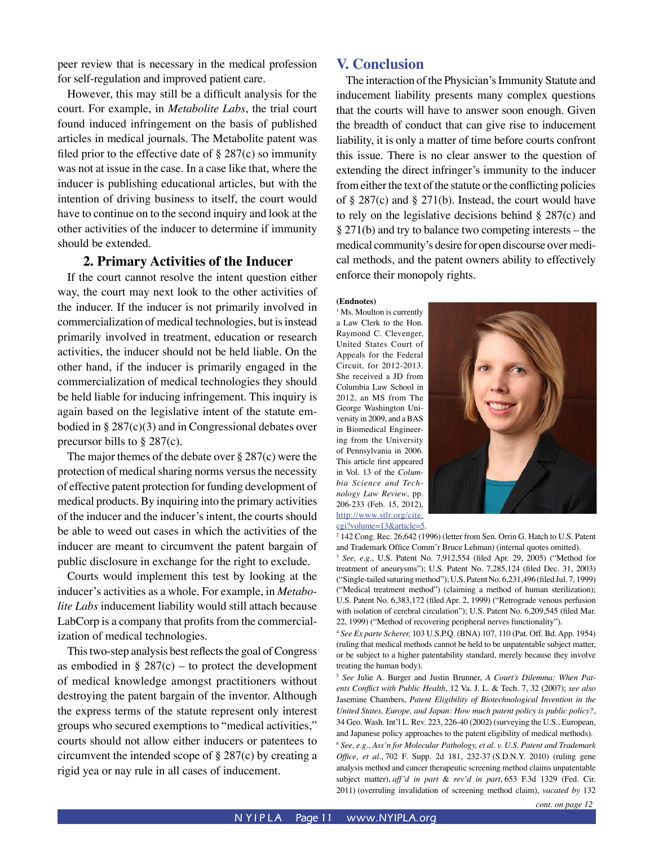peer review that is necessary in the medical profession for self-regulation and improved patient care.

However, this may still be a difficult analysis for the court. For example, in *Metabolite Labs*, the trial court found induced infringement on the basis of published articles in medical journals. The Metabolite patent was filed prior to the effective date of  $\S 287(c)$  so immunity was not at issue in the case. In a case like that, where the inducer is publishing educational articles, but with the intention of driving business to itself, the court would have to continue on to the second inquiry and look at the other activities of the inducer to determine if immunity should be extended.

#### **2. Primary Activities of the Inducer**

If the court cannot resolve the intent question either way, the court may next look to the other activities of the inducer. If the inducer is not primarily involved in commercialization of medical technologies, but is instead primarily involved in treatment, education or research activities, the inducer should not be held liable. On the other hand, if the inducer is primarily engaged in the commercialization of medical technologies they should be held liable for inducing infringement. This inquiry is again based on the legislative intent of the statute embodied in  $\S 287(c)(3)$  and in Congressional debates over precursor bills to § 287(c).

The major themes of the debate over § 287(c) were the protection of medical sharing norms versus the necessity of effective patent protection for funding development of medical products. By inquiring into the primary activities of the inducer and the inducer's intent, the courts should be able to weed out cases in which the activities of the inducer are meant to circumvent the patent bargain of public disclosure in exchange for the right to exclude.

Courts would implement this test by looking at the inducer's activities as a whole. For example, in *Metabolite Labs* inducement liability would still attach because LabCorp is a company that profits from the commercialization of medical technologies.

This two-step analysis best reflects the goal of Congress as embodied in  $\S 287(c)$  – to protect the development of medical knowledge amongst practitioners without destroying the patent bargain of the inventor. Although the express terms of the statute represent only interest groups who secured exemptions to "medical activities," courts should not allow either inducers or patentees to circumvent the intended scope of § 287(c) by creating a rigid yea or nay rule in all cases of inducement.

#### **V. Conclusion**

The interaction of the Physician's Immunity Statute and inducement liability presents many complex questions that the courts will have to answer soon enough. Given the breadth of conduct that can give rise to inducement liability, it is only a matter of time before courts confront this issue. There is no clear answer to the question of extending the direct infringer's immunity to the inducer from either the text of the statute or the conflicting policies of § 287(c) and § 271(b). Instead, the court would have to rely on the legislative decisions behind § 287(c) and § 271(b) and try to balance two competing interests – the medical community's desire for open discourse over medical methods, and the patent owners ability to effectively enforce their monopoly rights.

#### **(Endnotes)**

<sup>1</sup> Ms. Moulton is currently a Law Clerk to the Hon. Raymond C. Clevenger, United States Court of Appeals for the Federal Circuit, for 2012-2013. She received a JD from Columbia Law School in 2012, an MS from The George Washington University in 2009, and a BAS in Biomedical Engineering from the University of Pennsylvania in 2006. This article first appeared in Vol. 13 of the *Columbia Science and Technology Law Review*, pp. 206-233 (Feb. 15, 2012), http://www.stlr.org/cite. cgi?volume=13&article=5.



2 142 Cong. Rec. 26,642 (1996) (letter from Sen. Orrin G. Hatch to U.S. Patent and Trademark Office Comm'r Bruce Lehman) (internal quotes omitted).

<sup>3</sup> *See, e.g.*, U.S. Patent No. 7,912,554 (filed Apr. 29, 2005) ("Method for treatment of aneurysms"); U.S. Patent No. 7,285,124 (filed Dec. 31, 2003) ("Single-tailed suturing method"); U.S. Patent No. 6,231,496 (filed Jul. 7, 1999) ("Medical treatment method") (claiming a method of human sterilization); U.S. Patent No. 6,383,172 (filed Apr. 2, 1999) ("Retrograde venous perfusion with isolation of cerebral circulation"); U.S. Patent No. 6,209,545 (filed Mar. 22, 1999) ("Method of recovering peripheral nerves functionality").

<sup>4</sup> *See Ex parte Scherer,* 103 U.S.P.Q. (BNA) 107, 110 (Pat. Off. Bd. App. 1954) (ruling that medical methods cannot be held to be unpatentable subject matter, or be subject to a higher patentability standard, merely because they involve treating the human body).

<sup>5</sup> *See* Julie A. Burger and Justin Brunner, *A Court's Dilemma: When Patents Conflict with Public Health*, 12 Va. J. L. & Tech. 7, 32 (2007); *see also*  Jasemine Chambers, *Patent Eligibility of Biotechnological Invention in the United States, Europe, and Japan: How much patent policy is public policy?*, 34 Geo. Wash. Int'l L. Rev. 223, 226-40 (2002) (surveying the U.S., European, and Japanese policy approaches to the patent eligibility of medical methods). <sup>6</sup> *See, e.g.*, *Ass'n for Molecular Pathology, et al. v. U.S. Patent and Trademark Office, et al.*, 702 F. Supp. 2d 181, 232-37 (S.D.N.Y. 2010) (ruling gene analysis method and cancer therapeutic screening method claims unpatentable subject matter), *aff'd in part* & *rev'd in part*, 653 F.3d 1329 (Fed. Cir. 2011) (overruling invalidation of screening method claim), *vacated by* 132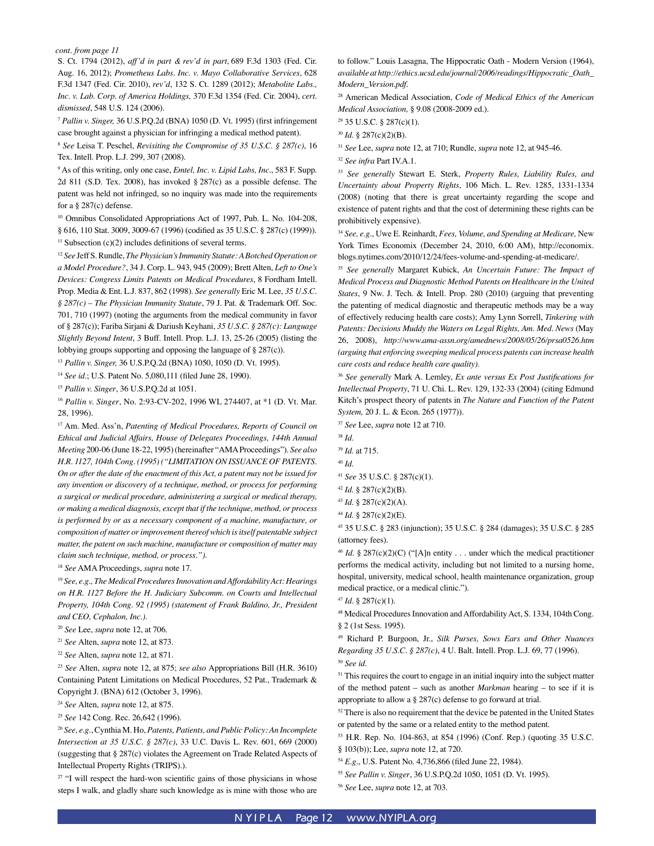S. Ct. 1794 (2012), *aff'd in part & rev'd in part*, 689 F.3d 1303 (Fed. Cir. Aug. 16, 2012); *Prometheus Labs. Inc. v. Mayo Collaborative Services*, 628 F.3d 1347 (Fed. Cir. 2010), *rev'd*, 132 S. Ct. 1289 (2012); *Metabolite Labs., Inc. v. Lab. Corp. of America Holdings,* 370 F.3d 1354 (Fed. Cir. 2004), *cert. dismissed*, 548 U.S. 124 (2006).

<sup>7</sup> *Pallin v. Singer,* 36 U.S.P.Q.2d (BNA) 1050 (D. Vt. 1995) (first infringement case brought against a physician for infringing a medical method patent).

<sup>8</sup> *See* Leisa T. Peschel, *Revisiting the Compromise of 35 U.S.C. § 287(c)*, 16 Tex. Intell. Prop. L.J. 299, 307 (2008).

9 As of this writing, only one case, *Emtel, Inc. v. Lipid Labs, Inc.*, 583 F. Supp. 2d 811 (S.D. Tex. 2008), has invoked § 287(c) as a possible defense. The patent was held not infringed, so no inquiry was made into the requirements for a § 287(c) defense.

<sup>10</sup> Omnibus Consolidated Appropriations Act of 1997, Pub. L. No. 104-208, § 616, 110 Stat. 3009, 3009-67 (1996) (codified as 35 U.S.C. § 287(c) (1999)). <sup>11</sup> Subsection (c)(2) includes definitions of several terms.

<sup>12</sup> *See* Jeff S. Rundle, *The Physician's Immunity Statute: A Botched Operation or a Model Procedure?*, 34 J. Corp. L. 943, 945 (2009); Brett Alten, *Left to One's Devices: Congress Limits Patents on Medical Procedures*, 8 Fordham Intell. Prop. Media & Ent. L.J. 837, 862 (1998). *See generally* Eric M. Lee, *35 U.S.C. § 287(c) – The Physician Immunity Statute*, 79 J. Pat. & Trademark Off. Soc. 701, 710 (1997) (noting the arguments from the medical community in favor of § 287(c)); Fariba Sirjani & Dariush Keyhani, *35 U.S.C. § 287(c): Language Slightly Beyond Intent*, 3 Buff. Intell. Prop. L.J. 13, 25-26 (2005) (listing the lobbying groups supporting and opposing the language of § 287(c)).

<sup>13</sup> *Pallin v. Singer,* 36 U.S.P.Q.2d (BNA) 1050, 1050 (D. Vt. 1995).

<sup>14</sup> *See id.*; U.S. Patent No. 5,080,111 (filed June 28, 1990).

<sup>15</sup> *Pallin v. Singer*, 36 U.S.P.Q.2d at 1051.

<sup>16</sup> *Pallin v. Singer*, No. 2:93-CV-202, 1996 WL 274407, at \*1 (D. Vt. Mar. 28, 1996).

17 Am. Med. Ass'n, *Patenting of Medical Procedures, Reports of Council on Ethical and Judicial Affairs, House of Delegates Proceedings, 144th Annual Meeting* 200-06 (June 18-22, 1995) (hereinafter "AMA Proceedings"). *See also H.R. 1127, 104th Cong. (1995) ("LIMITATION ON ISSUANCE OF PATENTS. On or after the date of the enactment of this Act, a patent may not be issued for any invention or discovery of a technique, method, or process for performing a surgical or medical procedure, administering a surgical or medical therapy, or making a medical diagnosis, except that if the technique, method, or process is performed by or as a necessary component of a machine, manufacture, or composition of matter or improvement thereof which is itself patentable subject matter, the patent on such machine, manufacture or composition of matter may claim such technique, method, or process.").*

<sup>18</sup> *See* AMA Proceedings, *supra* note 17.

<sup>19</sup> *See, e.g., The Medical Procedures Innovation and Affordability Act: Hearings on H.R. 1127 Before the H. Judiciary Subcomm. on Courts and Intellectual Property, 104th Cong. 92 (1995) (statement of Frank Baldino, Jr., President and CEO, Cephalon, Inc.).*

- <sup>20</sup> *See* Lee, *supra* note 12, at 706.
- <sup>21</sup> *See* Alten, *supra* note 12, at 873.
- <sup>22</sup> *See* Alten, *supra* note 12, at 871.

<sup>23</sup> *See* Alten, *supra* note 12, at 875; *see also* Appropriations Bill (H.R. 3610) Containing Patent Limitations on Medical Procedures, 52 Pat., Trademark & Copyright J. (BNA) 612 (October 3, 1996).

<sup>24</sup> *See* Alten, *supra* note 12, at 875.

<sup>25</sup> *See* 142 Cong. Rec. 26,642 (1996).

<sup>26</sup> *See, e.g.*, Cynthia M. Ho, *Patents, Patients, and Public Policy: An Incomplete Intersection at 35 U.S.C. § 287(c)*, 33 U.C. Davis L. Rev. 601, 669 (2000) (suggesting that § 287(c) violates the Agreement on Trade Related Aspects of Intellectual Property Rights (TRIPS).).

 $27$  "I will respect the hard-won scientific gains of those physicians in whose steps I walk, and gladly share such knowledge as is mine with those who are to follow." Louis Lasagna, The Hippocratic Oath - Modern Version (1964), *available at http://ethics.ucsd.edu/journal/2006/readings/Hippocratic\_Oath\_ Modern\_Version.pdf.*

28 American Medical Association, *Code of Medical Ethics of the American Medical Association,* § 9.08 (2008-2009 ed.).

29 35 U.S.C. § 287(c)(1).

<sup>30</sup> *Id.* § 287(c)(2)(B).

<sup>31</sup> *See* Lee, *supra* note 12, at 710; Rundle, *supra* note 12, at 945-46.

<sup>32</sup> *See infra* Part IV.A.1.

<sup>33</sup> *See generally* Stewart E. Sterk, *Property Rules, Liability Rules, and Uncertainty about Property Rights*, 106 Mich. L. Rev. 1285, 1331-1334 (2008) (noting that there is great uncertainty regarding the scope and existence of patent rights and that the cost of determining these rights can be prohibitively expensive).

<sup>34</sup> *See, e.g.*, Uwe E. Reinhardt, *Fees, Volume, and Spending at Medicare,* New York Times Economix (December 24, 2010, 6:00 AM), http://economix. blogs.nytimes.com/2010/12/24/fees-volume-and-spending-at-medicare/.

<sup>35</sup> *See generally* Margaret Kubick, *An Uncertain Future: The Impact of Medical Process and Diagnostic Method Patents on Healthcare in the United States*, 9 Nw. J. Tech. & Intell. Prop. 280 (2010) (arguing that preventing the patenting of medical diagnostic and therapeutic methods may be a way of effectively reducing health care costs); Amy Lynn Sorrell, *Tinkering with Patents: Decisions Muddy the Waters on Legal Rights, Am. Med. News* (May 26, 2008), *http://www.ama-assn.org/amednews/2008/05/26/prsa0526.htm (arguing that enforcing sweeping medical process patents can increase health care costs and reduce health care quality).*

<sup>36</sup> *See generally* Mark A. Lemley, *Ex ante versus Ex Post Justifications for Intellectual Property*, 71 U. Chi. L. Rev. 129, 132-33 (2004) (citing Edmund Kitch's prospect theory of patents in *The Nature and Function of the Patent System,* 20 J. L. & Econ. 265 (1977)).

<sup>37</sup> *See* Lee, *supra* note 12 at 710.

<sup>39</sup> *Id.* at 715.

<sup>41</sup> *See* 35 U.S.C. § 287(c)(1).

- <sup>43</sup> *Id.* § 287(c)(2)(A).
- <sup>44</sup> *Id.* § 287(c)(2)(E).

45 35 U.S.C. § 283 (injunction); 35 U.S.C. § 284 (damages); 35 U.S.C. § 285 (attorney fees).

<sup>46</sup> *Id.* § 287(c)(2)(C) ("[A]n entity . . . under which the medical practitioner performs the medical activity, including but not limited to a nursing home, hospital, university, medical school, health maintenance organization, group medical practice, or a medical clinic.").

48 Medical Procedures Innovation and Affordability Act, S. 1334, 104th Cong. § 2 (1st Sess. 1995).

<sup>51</sup> This requires the court to engage in an initial inquiry into the subject matter of the method patent – such as another *Markman* hearing – to see if it is appropriate to allow a § 287(c) defense to go forward at trial.

<sup>52</sup> There is also no requirement that the device be patented in the United States or patented by the same or a related entity to the method patent.

53 H.R. Rep. No. 104-863, at 854 (1996) (Conf. Rep.) (quoting 35 U.S.C. § 103(b)); Lee, *supra* note 12, at 720.

<sup>54</sup> *E.g.*, U.S. Patent No. 4,736,866 (filed June 22, 1984).

<sup>38</sup> *Id.*

<sup>40</sup> *Id.*

<sup>42</sup> *Id.* § 287(c)(2)(B).

<sup>47</sup> *Id.* § 287(c)(1).

<sup>49</sup> Richard P. Burgoon, Jr., *Silk Purses, Sows Ears and Other Nuances Regarding 35 U.S.C. § 287(c)*, 4 U. Balt. Intell. Prop. L.J. 69, 77 (1996). <sup>50</sup> *See id*.

<sup>55</sup> *See Pallin v. Singer*, 36 U.S.P.Q.2d 1050, 1051 (D. Vt. 1995)*.*

<sup>56</sup> *See* Lee, *supra* note 12, at 703.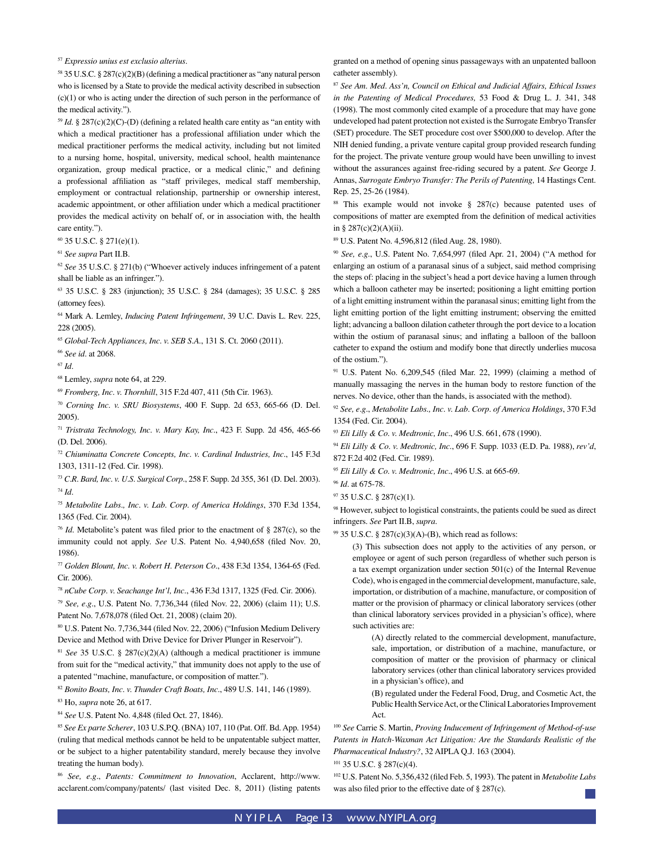<sup>57</sup> *Expressio unius est exclusio alterius*.

58 35 U.S.C. § 287(c)(2)(B) (defining a medical practitioner as "any natural person who is licensed by a State to provide the medical activity described in subsection (c)(1) or who is acting under the direction of such person in the performance of the medical activity.").

<sup>59</sup> *Id.* § 287(c)(2)(C)-(D) (defining a related health care entity as "an entity with which a medical practitioner has a professional affiliation under which the medical practitioner performs the medical activity, including but not limited to a nursing home, hospital, university, medical school, health maintenance organization, group medical practice, or a medical clinic," and defining a professional affiliation as "staff privileges, medical staff membership, employment or contractual relationship, partnership or ownership interest, academic appointment, or other affiliation under which a medical practitioner provides the medical activity on behalf of, or in association with, the health care entity.").

60 35 U.S.C. § 271(e)(1).

<sup>61</sup> *See supra* Part II.B.

<sup>62</sup> *See* 35 U.S.C. § 271(b) ("Whoever actively induces infringement of a patent shall be liable as an infringer.").

63 35 U.S.C. § 283 (injunction); 35 U.S.C. § 284 (damages); 35 U.S.C. § 285 (attorney fees).

64 Mark A. Lemley, *Inducing Patent Infringement*, 39 U.C. Davis L. Rev. 225, 228 (2005).

<sup>65</sup> *Global-Tech Appliances, Inc. v. SEB S.A.*, 131 S. Ct. 2060 (2011).

<sup>66</sup> *See id.* at 2068.

<sup>67</sup> *Id.*

68 Lemley, *supra* note 64, at 229.

<sup>69</sup> *Fromberg, Inc. v. Thornhill*, 315 F.2d 407, 411 (5th Cir. 1963).

<sup>70</sup> *Corning Inc. v. SRU Biosystems*, 400 F. Supp. 2d 653, 665-66 (D. Del. 2005).

<sup>71</sup> *Tristrata Technology, Inc. v. Mary Kay, Inc.*, 423 F. Supp. 2d 456, 465-66 (D. Del. 2006).

<sup>72</sup> *Chiuminatta Concrete Concepts, Inc. v. Cardinal Industries, Inc.*, 145 F.3d 1303, 1311-12 (Fed. Cir. 1998).

<sup>73</sup> *C.R. Bard, Inc. v. U.S. Surgical Corp.*, 258 F. Supp. 2d 355, 361 (D. Del. 2003). <sup>74</sup> *Id.*

<sup>75</sup> *Metabolite Labs., Inc. v. Lab. Corp. of America Holdings*, 370 F.3d 1354, 1365 (Fed. Cir. 2004).

<sup>76</sup> *Id.* Metabolite's patent was filed prior to the enactment of § 287(c), so the immunity could not apply. *See* U.S. Patent No. 4,940,658 (filed Nov. 20, 1986).

<sup>77</sup> *Golden Blount, Inc. v. Robert H. Peterson Co.*, 438 F.3d 1354, 1364-65 (Fed. Cir. 2006).

<sup>78</sup> *nCube Corp. v. Seachange Int'l, Inc.*, 436 F.3d 1317, 1325 (Fed. Cir. 2006).

<sup>79</sup> *See, e.g.*, U.S. Patent No. 7,736,344 (filed Nov. 22, 2006) (claim 11); U.S. Patent No. 7,678,078 (filed Oct. 21, 2008) (claim 20).

80 U.S. Patent No. 7,736,344 (filed Nov. 22, 2006) ("Infusion Medium Delivery Device and Method with Drive Device for Driver Plunger in Reservoir").

<sup>81</sup> *See* 35 U.S.C. § 287(c)(2)(A) (although a medical practitioner is immune from suit for the "medical activity," that immunity does not apply to the use of a patented "machine, manufacture, or composition of matter.").

<sup>82</sup> *Bonito Boats, Inc. v. Thunder Craft Boats, Inc.*, 489 U.S. 141, 146 (1989).

83 Ho, *supra* note 26, at 617.

<sup>84</sup> *See* U.S. Patent No. 4,848 (filed Oct. 27, 1846).

<sup>85</sup> *See Ex parte Scherer*, 103 U.S.P.Q. (BNA) 107, 110 (Pat. Off. Bd. App. 1954) (ruling that medical methods cannot be held to be unpatentable subject matter, or be subject to a higher patentability standard, merely because they involve treating the human body).

<sup>86</sup> *See, e.g.*, *Patents: Commitment to Innovation*, Acclarent, http://www. acclarent.com/company/patents/ (last visited Dec. 8, 2011) (listing patents granted on a method of opening sinus passageways with an unpatented balloon catheter assembly).

<sup>87</sup> *See Am. Med. Ass'n, Council on Ethical and Judicial Affairs, Ethical Issues in the Patenting of Medical Procedures,* 53 Food & Drug L. J. 341, 348 (1998). The most commonly cited example of a procedure that may have gone undeveloped had patent protection not existed is the Surrogate Embryo Transfer (SET) procedure. The SET procedure cost over \$500,000 to develop. After the NIH denied funding, a private venture capital group provided research funding for the project. The private venture group would have been unwilling to invest without the assurances against free-riding secured by a patent. *See* George J. Annas, *Surrogate Embryo Transfer: The Perils of Patenting,* 14 Hastings Cent. Rep. 25, 25-26 (1984)*.*

88 This example would not invoke § 287(c) because patented uses of compositions of matter are exempted from the definition of medical activities in § 287(c)(2)(A)(ii).

89 U.S. Patent No. 4,596,812 (filed Aug. 28, 1980).

<sup>90</sup> *See, e.g.*, U.S. Patent No. 7,654,997 (filed Apr. 21, 2004) ("A method for enlarging an ostium of a paranasal sinus of a subject, said method comprising the steps of: placing in the subject's head a port device having a lumen through which a balloon catheter may be inserted; positioning a light emitting portion of a light emitting instrument within the paranasal sinus; emitting light from the light emitting portion of the light emitting instrument; observing the emitted light; advancing a balloon dilation catheter through the port device to a location within the ostium of paranasal sinus; and inflating a balloon of the balloon catheter to expand the ostium and modify bone that directly underlies mucosa of the ostium.").

<sup>91</sup> U.S. Patent No. 6,209,545 (filed Mar. 22, 1999) (claiming a method of manually massaging the nerves in the human body to restore function of the nerves. No device, other than the hands, is associated with the method).

<sup>92</sup> *See, e.g.*, *Metabolite Labs., Inc. v. Lab. Corp. of America Holdings*, 370 F.3d 1354 (Fed. Cir. 2004).

<sup>93</sup> *Eli Lilly & Co. v. Medtronic, Inc.*, 496 U.S. 661, 678 (1990).

<sup>94</sup> *Eli Lilly & Co. v. Medtronic, Inc.*, 696 F. Supp. 1033 (E.D. Pa. 1988), *rev'd*, 872 F.2d 402 (Fed. Cir. 1989).

<sup>95</sup> *Eli Lilly & Co. v. Medtronic, Inc.*, 496 U.S. at 665-69.

98 However, subject to logistical constraints, the patients could be sued as direct infringers. *See* Part II.B, *supra.*

99 35 U.S.C. § 287(c)(3)(A)-(B), which read as follows:

(3) This subsection does not apply to the activities of any person, or employee or agent of such person (regardless of whether such person is a tax exempt organization under section 501(c) of the Internal Revenue Code), who is engaged in the commercial development, manufacture, sale, importation, or distribution of a machine, manufacture, or composition of matter or the provision of pharmacy or clinical laboratory services (other than clinical laboratory services provided in a physician's office), where such activities are:

(A) directly related to the commercial development, manufacture, sale, importation, or distribution of a machine, manufacture, or composition of matter or the provision of pharmacy or clinical laboratory services (other than clinical laboratory services provided in a physician's office), and

(B) regulated under the Federal Food, Drug, and Cosmetic Act, the Public Health Service Act, or the Clinical Laboratories Improvement Act.

<sup>100</sup> *See* Carrie S. Martin, *Proving Inducement of Infringement of Method-of-use Patents in Hatch-Waxman Act Litigation: Are the Standards Realistic of the Pharmaceutical Industry?*, 32 AIPLA Q.J. 163 (2004).

101 35 U.S.C. § 287(c)(4).

102 U.S. Patent No. 5,356,432 (filed Feb. 5, 1993). The patent in *Metabolite Labs*  was also filed prior to the effective date of § 287(c).

<sup>96</sup> *Id.* at 675-78.

<sup>97 35</sup> U.S.C. § 287(c)(1).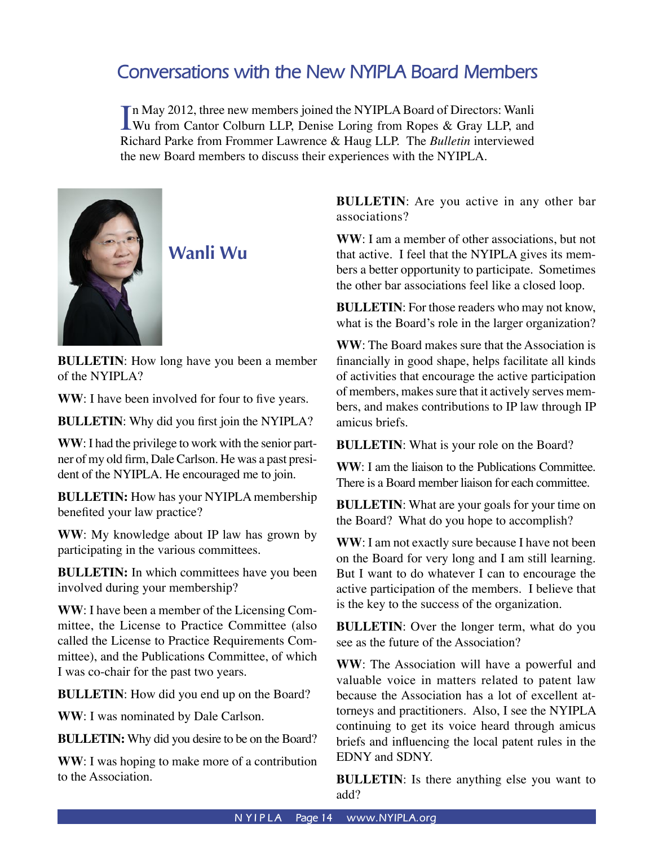# **Conversations with the New NYIPLA Board Members**

In May 2012, three new members joined the NYIPLA Board of Directors: Wanli<br>Wu from Cantor Colburn LLP, Denise Loring from Ropes & Gray LLP, and n May 2012, three new members joined the NYIPLA Board of Directors: Wanli Richard Parke from Frommer Lawrence & Haug LLP. The *Bulletin* interviewed the new Board members to discuss their experiences with the NYIPLA.



**Wanli Wu**

**BULLETIN**: How long have you been a member of the NYIPLA?

WW: I have been involved for four to five years.

**BULLETIN**: Why did you first join the NYIPLA?

**WW**: I had the privilege to work with the senior partner of my old firm, Dale Carlson. He was a past president of the NYIPLA. He encouraged me to join.

**BULLETIN:** How has your NYIPLA membership benefited your law practice?

**WW**: My knowledge about IP law has grown by participating in the various committees.

**BULLETIN:** In which committees have you been involved during your membership?

**WW**: I have been a member of the Licensing Committee, the License to Practice Committee (also called the License to Practice Requirements Committee), and the Publications Committee, of which I was co-chair for the past two years.

**BULLETIN**: How did you end up on the Board?

**WW**: I was nominated by Dale Carlson.

**BULLETIN:** Why did you desire to be on the Board?

**WW**: I was hoping to make more of a contribution to the Association.

**BULLETIN**: Are you active in any other bar associations?

**WW**: I am a member of other associations, but not that active. I feel that the NYIPLA gives its members a better opportunity to participate. Sometimes the other bar associations feel like a closed loop.

**BULLETIN**: For those readers who may not know, what is the Board's role in the larger organization?

**WW**: The Board makes sure that the Association is financially in good shape, helps facilitate all kinds of activities that encourage the active participation of members, makes sure that it actively serves members, and makes contributions to IP law through IP amicus briefs.

**BULLETIN:** What is your role on the Board?

**WW**: I am the liaison to the Publications Committee. There is a Board member liaison for each committee.

**BULLETIN**: What are your goals for your time on the Board? What do you hope to accomplish?

**WW**: I am not exactly sure because I have not been on the Board for very long and I am still learning. But I want to do whatever I can to encourage the active participation of the members. I believe that is the key to the success of the organization.

**BULLETIN**: Over the longer term, what do you see as the future of the Association?

**WW**: The Association will have a powerful and valuable voice in matters related to patent law because the Association has a lot of excellent attorneys and practitioners. Also, I see the NYIPLA continuing to get its voice heard through amicus briefs and influencing the local patent rules in the EDNY and SDNY.

**BULLETIN**: Is there anything else you want to add?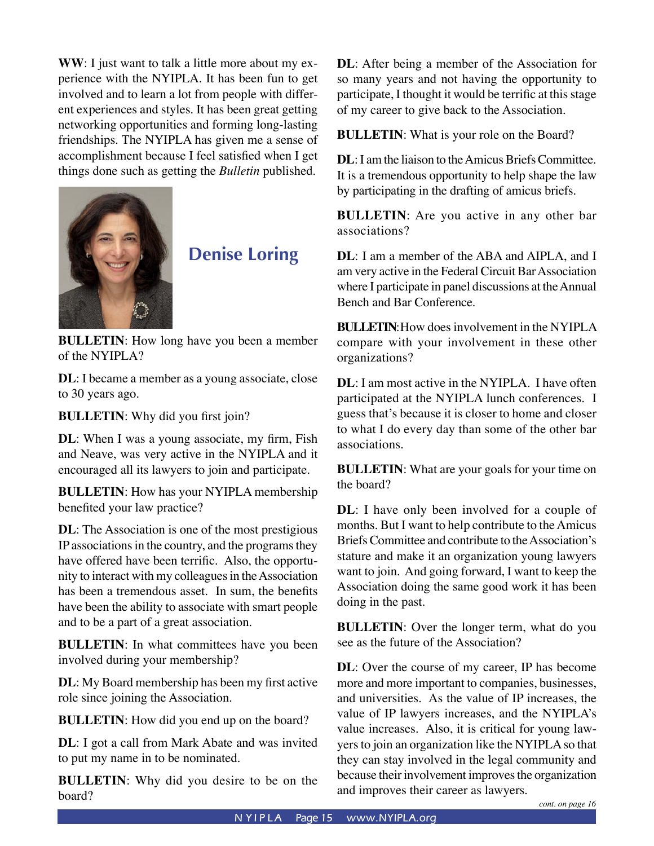**WW**: I just want to talk a little more about my experience with the NYIPLA. It has been fun to get involved and to learn a lot from people with different experiences and styles. It has been great getting networking opportunities and forming long-lasting friendships. The NYIPLA has given me a sense of accomplishment because I feel satisfied when I get things done such as getting the *Bulletin* published.



**Denise Loring**

**BULLETIN:** How long have you been a member of the NYIPLA?

**DL**: I became a member as a young associate, close to 30 years ago.

**BULLETIN**: Why did you first join?

**DL**: When I was a young associate, my firm, Fish and Neave, was very active in the NYIPLA and it encouraged all its lawyers to join and participate.

**BULLETIN**: How has your NYIPLA membership benefited your law practice?

**DL**: The Association is one of the most prestigious IP associations in the country, and the programs they have offered have been terrific. Also, the opportunity to interact with my colleagues in the Association has been a tremendous asset. In sum, the benefits have been the ability to associate with smart people and to be a part of a great association.

**BULLETIN:** In what committees have you been involved during your membership?

**DL**: My Board membership has been my first active role since joining the Association.

**BULLETIN**: How did you end up on the board?

**DL**: I got a call from Mark Abate and was invited to put my name in to be nominated.

**BULLETIN**: Why did you desire to be on the board?

**DL**: After being a member of the Association for so many years and not having the opportunity to participate, I thought it would be terrific at this stage of my career to give back to the Association.

**BULLETIN**: What is your role on the Board?

**DL**: I am the liaison to the Amicus Briefs Committee. It is a tremendous opportunity to help shape the law by participating in the drafting of amicus briefs.

**BULLETIN**: Are you active in any other bar associations?

**DL**: I am a member of the ABA and AIPLA, and I am very active in the Federal Circuit Bar Association where I participate in panel discussions at the Annual Bench and Bar Conference.

**BULLETIN**: How does involvement in the NYIPLA compare with your involvement in these other organizations?

**DL**: I am most active in the NYIPLA. I have often participated at the NYIPLA lunch conferences. I guess that's because it is closer to home and closer to what I do every day than some of the other bar associations.

**BULLETIN**: What are your goals for your time on the board?

**DL**: I have only been involved for a couple of months. But I want to help contribute to the Amicus Briefs Committee and contribute to the Association's stature and make it an organization young lawyers want to join. And going forward, I want to keep the Association doing the same good work it has been doing in the past.

**BULLETIN**: Over the longer term, what do you see as the future of the Association?

**DL**: Over the course of my career, IP has become more and more important to companies, businesses, and universities. As the value of IP increases, the value of IP lawyers increases, and the NYIPLA's value increases. Also, it is critical for young lawyers to join an organization like the NYIPLA so that they can stay involved in the legal community and because their involvement improves the organization and improves their career as lawyers.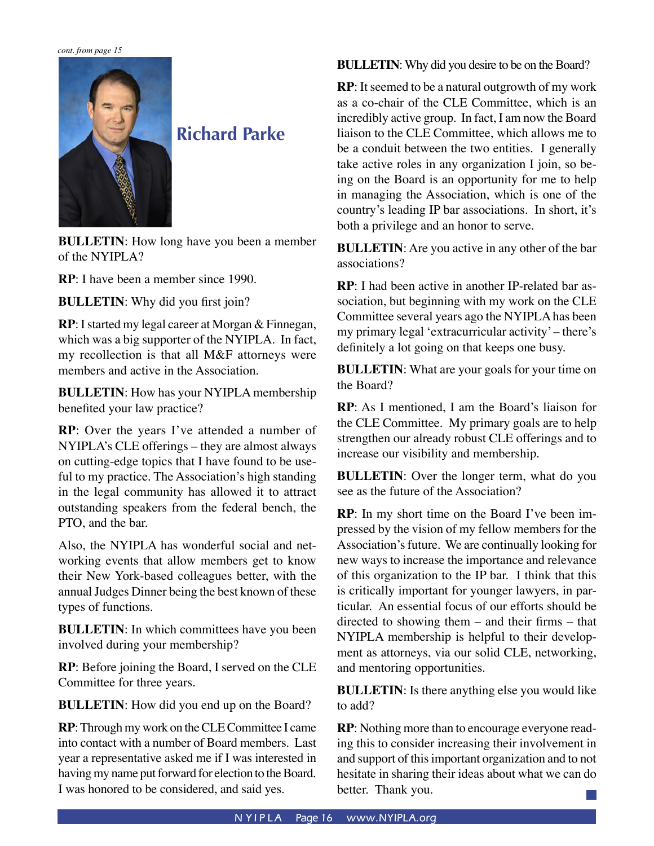*cont. from page 15*



# **Richard Parke**

**BULLETIN:** How long have you been a member of the NYIPLA?

**RP**: I have been a member since 1990.

**BULLETIN**: Why did you first join?

**RP**: I started my legal career at Morgan & Finnegan, which was a big supporter of the NYIPLA. In fact, my recollection is that all M&F attorneys were members and active in the Association.

**BULLETIN**: How has your NYIPLA membership benefited your law practice?

**RP**: Over the years I've attended a number of NYIPLA's CLE offerings – they are almost always on cutting-edge topics that I have found to be useful to my practice. The Association's high standing in the legal community has allowed it to attract outstanding speakers from the federal bench, the PTO, and the bar.

Also, the NYIPLA has wonderful social and networking events that allow members get to know their New York-based colleagues better, with the annual Judges Dinner being the best known of these types of functions.

**BULLETIN:** In which committees have you been involved during your membership?

**RP**: Before joining the Board, I served on the CLE Committee for three years.

**BULLETIN**: How did you end up on the Board?

**RP**: Through my work on the CLE Committee I came into contact with a number of Board members. Last year a representative asked me if I was interested in having my name put forward for election to the Board. I was honored to be considered, and said yes.

**BULLETIN**: Why did you desire to be on the Board?

**RP**: It seemed to be a natural outgrowth of my work as a co-chair of the CLE Committee, which is an incredibly active group. In fact, I am now the Board liaison to the CLE Committee, which allows me to be a conduit between the two entities. I generally take active roles in any organization I join, so being on the Board is an opportunity for me to help in managing the Association, which is one of the country's leading IP bar associations. In short, it's both a privilege and an honor to serve.

**BULLETIN**: Are you active in any other of the bar associations?

**RP**: I had been active in another IP-related bar association, but beginning with my work on the CLE Committee several years ago the NYIPLA has been my primary legal 'extracurricular activity' – there's definitely a lot going on that keeps one busy.

**BULLETIN**: What are your goals for your time on the Board?

**RP**: As I mentioned, I am the Board's liaison for the CLE Committee. My primary goals are to help strengthen our already robust CLE offerings and to increase our visibility and membership.

**BULLETIN**: Over the longer term, what do you see as the future of the Association?

**RP**: In my short time on the Board I've been impressed by the vision of my fellow members for the Association's future. We are continually looking for new ways to increase the importance and relevance of this organization to the IP bar. I think that this is critically important for younger lawyers, in particular. An essential focus of our efforts should be directed to showing them – and their firms – that NYIPLA membership is helpful to their development as attorneys, via our solid CLE, networking, and mentoring opportunities.

**BULLETIN**: Is there anything else you would like to add?

**RP**: Nothing more than to encourage everyone reading this to consider increasing their involvement in and support of this important organization and to not hesitate in sharing their ideas about what we can do better. Thank you.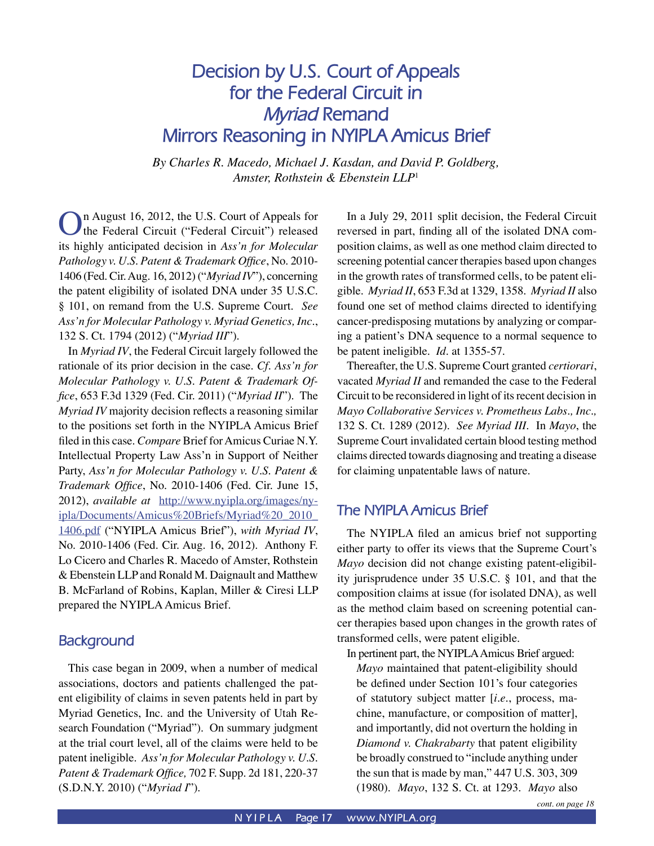# **Decision by U.S. Court of Appeals for the Federal Circuit in**  *Myriad* **Remand Mirrors Reasoning in NYIPLA Amicus Brief**

*By Charles R. Macedo, Michael J. Kasdan, and David P. Goldberg, Amster, Rothstein & Ebenstein LLP*<sup>1</sup>

In August 16, 2012, the U.S. Court of Appeals for the Federal Circuit ("Federal Circuit") released its highly anticipated decision in *Ass'n for Molecular Pathology v. U.S. Patent & Trademark Office*, No. 2010- 1406 (Fed. Cir. Aug. 16, 2012) ("*Myriad IV*"), concerning the patent eligibility of isolated DNA under 35 U.S.C. § 101, on remand from the U.S. Supreme Court. *See Ass'n for Molecular Pathology v. Myriad Genetics, Inc.*, 132 S. Ct. 1794 (2012) ("*Myriad III*").

In *Myriad IV*, the Federal Circuit largely followed the rationale of its prior decision in the case. *Cf. Ass'n for Molecular Pathology v. U.S. Patent & Trademark Office*, 653 F.3d 1329 (Fed. Cir. 2011) ("*Myriad II*"). The *Myriad IV* majority decision reflects a reasoning similar to the positions set forth in the NYIPLA Amicus Brief filed in this case. *Compare* Brief for Amicus Curiae N.Y. Intellectual Property Law Ass'n in Support of Neither Party, *Ass'n for Molecular Pathology v. U.S. Patent & Trademark Office*, No. 2010-1406 (Fed. Cir. June 15, 2012), *available at* [http://www.nyipla.org/images/ny](http://www.nyipla.org/images/nyipla/Documents/Amicus%20Briefs/Myriad%20_2010_1406.pdf)[ipla/Documents/Amicus%20Briefs/Myriad%20\\_2010\\_](http://www.nyipla.org/images/nyipla/Documents/Amicus%20Briefs/Myriad%20_2010_1406.pdf) [1406.pdf](http://www.nyipla.org/images/nyipla/Documents/Amicus%20Briefs/Myriad%20_2010_1406.pdf) ("NYIPLA Amicus Brief"), *with Myriad IV*, No. 2010-1406 (Fed. Cir. Aug. 16, 2012). Anthony F. Lo Cicero and Charles R. Macedo of Amster, Rothstein & Ebenstein LLP and Ronald M. Daignault and Matthew B. McFarland of Robins, Kaplan, Miller & Ciresi LLP prepared the NYIPLA Amicus Brief.

#### **Background**

This case began in 2009, when a number of medical associations, doctors and patients challenged the patent eligibility of claims in seven patents held in part by Myriad Genetics, Inc. and the University of Utah Research Foundation ("Myriad"). On summary judgment at the trial court level, all of the claims were held to be patent ineligible. *Ass'n for Molecular Pathology v. U.S. Patent & Trademark Office,* 702 F. Supp. 2d 181, 220-37 (S.D.N.Y. 2010) ("*Myriad I*").

In a July 29, 2011 split decision, the Federal Circuit reversed in part, finding all of the isolated DNA composition claims, as well as one method claim directed to screening potential cancer therapies based upon changes in the growth rates of transformed cells, to be patent eligible. *Myriad II*, 653 F.3d at 1329, 1358. *Myriad II* also found one set of method claims directed to identifying cancer-predisposing mutations by analyzing or comparing a patient's DNA sequence to a normal sequence to be patent ineligible. *Id.* at 1355-57.

Thereafter, the U.S. Supreme Court granted *certiorari*, vacated *Myriad II* and remanded the case to the Federal Circuit to be reconsidered in light of its recent decision in *Mayo Collaborative Services v. Prometheus Labs., Inc.,* 132 S. Ct. 1289 (2012). *See Myriad III*. In *Mayo*, the Supreme Court invalidated certain blood testing method claims directed towards diagnosing and treating a disease for claiming unpatentable laws of nature.

#### **The NYIPLA Amicus Brief**

The NYIPLA filed an amicus brief not supporting either party to offer its views that the Supreme Court's *Mayo* decision did not change existing patent-eligibility jurisprudence under 35 U.S.C. § 101, and that the composition claims at issue (for isolated DNA), as well as the method claim based on screening potential cancer therapies based upon changes in the growth rates of transformed cells, were patent eligible.

In pertinent part, the NYIPLA Amicus Brief argued: *Mayo* maintained that patent-eligibility should be defined under Section 101's four categories of statutory subject matter [*i.e.*, process, machine, manufacture, or composition of matter], and importantly, did not overturn the holding in *Diamond v. Chakrabarty* that patent eligibility be broadly construed to "include anything under the sun that is made by man," 447 U.S. 303, 309 (1980). *Mayo*, 132 S. Ct. at 1293. *Mayo* also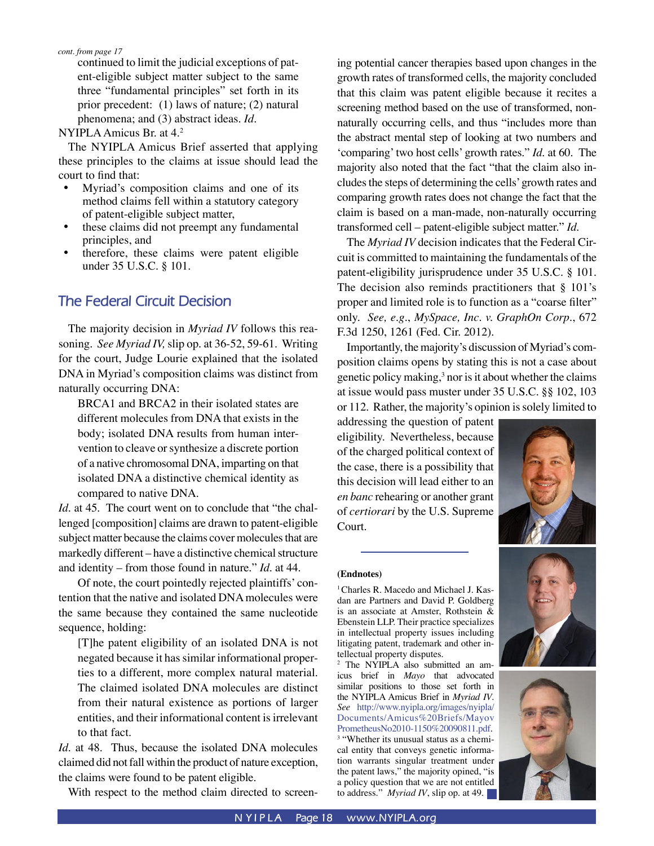continued to limit the judicial exceptions of patent-eligible subject matter subject to the same three "fundamental principles" set forth in its prior precedent: (1) laws of nature; (2) natural phenomena; and (3) abstract ideas. *Id.*

NYIPLA Amicus Br. at 4.2

The NYIPLA Amicus Brief asserted that applying these principles to the claims at issue should lead the court to find that:

- Myriad's composition claims and one of its method claims fell within a statutory category of patent-eligible subject matter,
- these claims did not preempt any fundamental principles, and
- therefore, these claims were patent eligible under 35 U.S.C. § 101.

### **The Federal Circuit Decision**

The majority decision in *Myriad IV* follows this reasoning. *See Myriad IV,* slip op. at 36-52, 59-61. Writing for the court, Judge Lourie explained that the isolated DNA in Myriad's composition claims was distinct from naturally occurring DNA:

BRCA1 and BRCA2 in their isolated states are different molecules from DNA that exists in the body; isolated DNA results from human intervention to cleave or synthesize a discrete portion of a native chromosomal DNA, imparting on that isolated DNA a distinctive chemical identity as compared to native DNA.

*Id*. at 45. The court went on to conclude that "the challenged [composition] claims are drawn to patent-eligible subject matter because the claims cover molecules that are markedly different – have a distinctive chemical structure and identity – from those found in nature." *Id*. at 44.

Of note, the court pointedly rejected plaintiffs' contention that the native and isolated DNA molecules were the same because they contained the same nucleotide sequence, holding:

[T]he patent eligibility of an isolated DNA is not negated because it has similar informational properties to a different, more complex natural material. The claimed isolated DNA molecules are distinct from their natural existence as portions of larger entities, and their informational content is irrelevant to that fact.

*Id.* at 48. Thus, because the isolated DNA molecules claimed did not fall within the product of nature exception, the claims were found to be patent eligible.

With respect to the method claim directed to screen-

ing potential cancer therapies based upon changes in the growth rates of transformed cells, the majority concluded that this claim was patent eligible because it recites a screening method based on the use of transformed, nonnaturally occurring cells, and thus "includes more than the abstract mental step of looking at two numbers and 'comparing' two host cells' growth rates." *Id*. at 60. The majority also noted that the fact "that the claim also includes the steps of determining the cells' growth rates and comparing growth rates does not change the fact that the claim is based on a man-made, non-naturally occurring transformed cell – patent-eligible subject matter." *Id*.

The *Myriad IV* decision indicates that the Federal Circuit is committed to maintaining the fundamentals of the patent-eligibility jurisprudence under 35 U.S.C. § 101. The decision also reminds practitioners that § 101's proper and limited role is to function as a "coarse filter" only. *See, e.g.*, *MySpace, Inc. v. GraphOn Corp.*, 672 F.3d 1250, 1261 (Fed. Cir. 2012).

Importantly, the majority's discussion of Myriad's composition claims opens by stating this is not a case about genetic policy making, $3$  nor is it about whether the claims at issue would pass muster under 35 U.S.C. §§ 102, 103 or 112. Rather, the majority's opinion is solely limited to

addressing the question of patent eligibility. Nevertheless, because of the charged political context of the case, there is a possibility that this decision will lead either to an *en banc* rehearing or another grant of *certiorari* by the U.S. Supreme Court.



#### **(Endnotes)**

<sup>1</sup> Charles R. Macedo and Michael J. Kasdan are Partners and David P. Goldberg is an associate at Amster, Rothstein & Ebenstein LLP. Their practice specializes in intellectual property issues including litigating patent, trademark and other intellectual property disputes.

2 The NYIPLA also submitted an amicus brief in *Mayo* that advocated similar positions to those set forth in the NYIPLA Amicus Brief in *Myriad IV*. *See* [http://www.nyipla.org/images/nyipla/](http://www.nyipla.org/images/nyipla/Documents/Amicus%20Briefs/MayovPrometheusNo2010-1150%20090811.pdf) [Documents/Amicus%20Briefs/Mayov](http://www.nyipla.org/images/nyipla/Documents/Amicus%20Briefs/MayovPrometheusNo2010-1150%20090811.pdf)  [PrometheusNo2010-1150%20090811.pdf](http://www.nyipla.org/images/nyipla/Documents/Amicus%20Briefs/MayovPrometheusNo2010-1150%20090811.pdf).

<sup>3</sup> "Whether its unusual status as a chemical entity that conveys genetic information warrants singular treatment under the patent laws," the majority opined, "is a policy question that we are not entitled to address." *Myriad IV*, slip op. at 49.



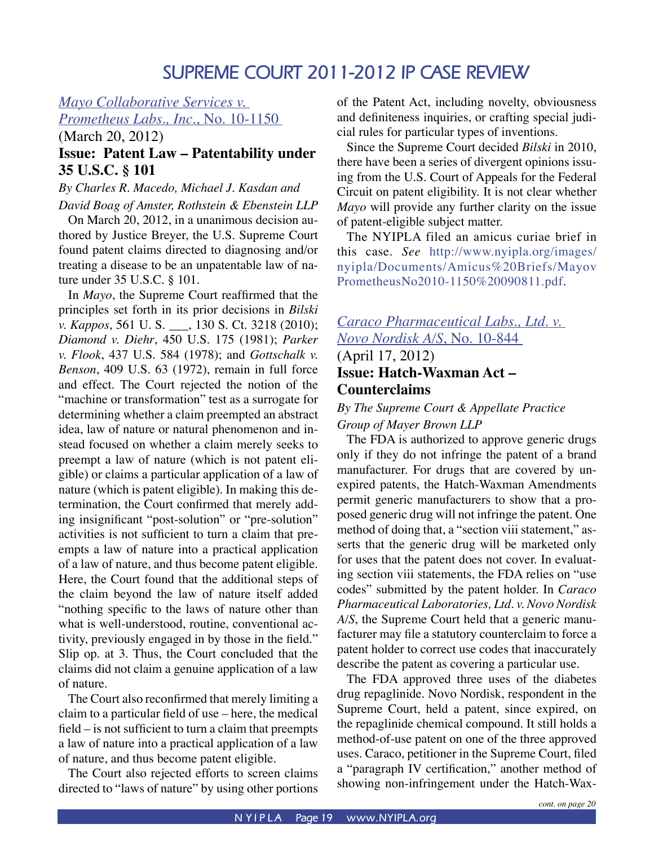# **SUPREME COURT 2011-2012 IP CASE REVIEW**

#### *Mayo Collaborative Services v.*

*Prometheus Labs., Inc.*, No. 10-1150

(March 20, 2012)

#### **Issue: Patent Law – Patentability under 35 U.S.C. § 101**

#### *By Charles R. Macedo, Michael J. Kasdan and David Boag of Amster, Rothstein & Ebenstein LLP*

On March 20, 2012, in a unanimous decision authored by Justice Breyer, the U.S. Supreme Court found patent claims directed to diagnosing and/or treating a disease to be an unpatentable law of nature under 35 U.S.C. § 101.

In *Mayo*, the Supreme Court reaffirmed that the principles set forth in its prior decisions in *Bilski v. Kappos*, 561 U. S. \_\_\_, 130 S. Ct. 3218 (2010); *Diamond v. Diehr*, 450 U.S. 175 (1981); *Parker v. Flook*, 437 U.S. 584 (1978); and *Gottschalk v. Benson*, 409 U.S. 63 (1972), remain in full force and effect. The Court rejected the notion of the "machine or transformation" test as a surrogate for determining whether a claim preempted an abstract idea, law of nature or natural phenomenon and instead focused on whether a claim merely seeks to preempt a law of nature (which is not patent eligible) or claims a particular application of a law of nature (which is patent eligible). In making this determination, the Court confirmed that merely adding insignificant "post-solution" or "pre-solution" activities is not sufficient to turn a claim that preempts a law of nature into a practical application of a law of nature, and thus become patent eligible. Here, the Court found that the additional steps of the claim beyond the law of nature itself added "nothing specific to the laws of nature other than what is well-understood, routine, conventional activity, previously engaged in by those in the field." Slip op. at 3. Thus, the Court concluded that the claims did not claim a genuine application of a law of nature.

The Court also reconfirmed that merely limiting a claim to a particular field of use – here, the medical field – is not sufficient to turn a claim that preempts a law of nature into a practical application of a law of nature, and thus become patent eligible.

The Court also rejected efforts to screen claims directed to "laws of nature" by using other portions

of the Patent Act, including novelty, obviousness and definiteness inquiries, or crafting special judicial rules for particular types of inventions.

Since the Supreme Court decided *Bilski* in 2010, there have been a series of divergent opinions issuing from the U.S. Court of Appeals for the Federal Circuit on patent eligibility. It is not clear whether *Mayo* will provide any further clarity on the issue of patent-eligible subject matter.

The NYIPLA filed an amicus curiae brief in this case. *See* [http://www.nyipla.org/images/](http://www.nyipla.org/images/nyipla/Documents/Amicus%20Briefs/MayovPrometheusNo2010-1150%20090811.pdf) [nyipla/Documents/Amicus%20Briefs/Mayov](http://www.nyipla.org/images/nyipla/Documents/Amicus%20Briefs/MayovPrometheusNo2010-1150%20090811.pdf) [PrometheusNo2010-1150%20090811.pdf.](http://www.nyipla.org/images/nyipla/Documents/Amicus%20Briefs/MayovPrometheusNo2010-1150%20090811.pdf)

#### *Caraco Pharmaceutical Labs., Ltd. v. Novo Nordisk A/S*, No. 10-844 (April 17, 2012)

# **Issue: Hatch-Waxman Act – Counterclaims**

#### *By The Supreme Court & Appellate Practice Group of Mayer Brown LLP*

The FDA is authorized to approve generic drugs only if they do not infringe the patent of a brand manufacturer. For drugs that are covered by unexpired patents, the Hatch-Waxman Amendments permit generic manufacturers to show that a proposed generic drug will not infringe the patent. One method of doing that, a "section viii statement," asserts that the generic drug will be marketed only for uses that the patent does not cover. In evaluating section viii statements, the FDA relies on "use codes" submitted by the patent holder. In *Caraco Pharmaceutical Laboratories, Ltd. v. Novo Nordisk A/S*, the Supreme Court held that a generic manufacturer may file a statutory counterclaim to force a patent holder to correct use codes that inaccurately describe the patent as covering a particular use.

The FDA approved three uses of the diabetes drug repaglinide. Novo Nordisk, respondent in the Supreme Court, held a patent, since expired, on the repaglinide chemical compound. It still holds a method-of-use patent on one of the three approved uses. Caraco, petitioner in the Supreme Court, filed a "paragraph IV certification," another method of showing non-infringement under the Hatch-Wax-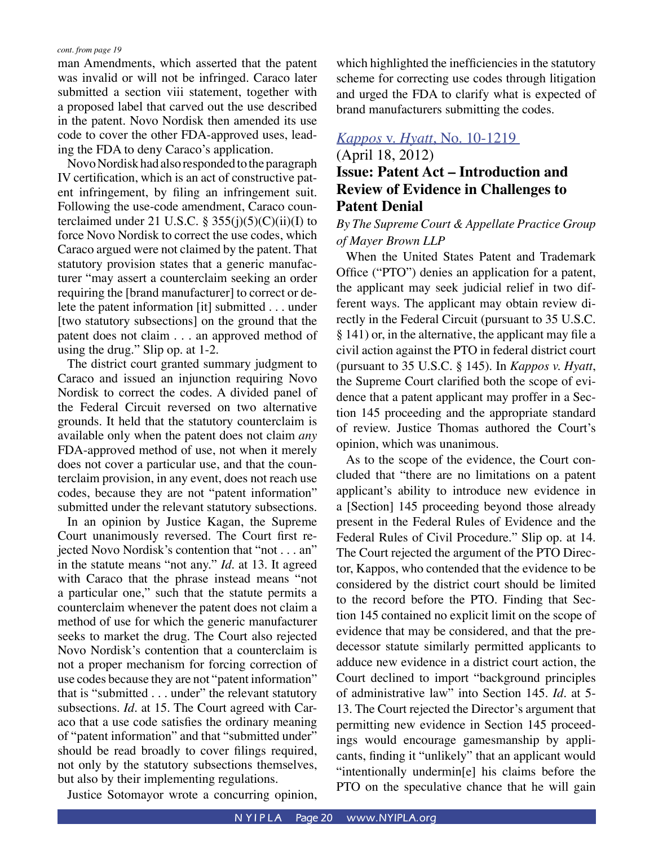man Amendments, which asserted that the patent was invalid or will not be infringed. Caraco later submitted a section viii statement, together with a proposed label that carved out the use described in the patent. Novo Nordisk then amended its use code to cover the other FDA-approved uses, leading the FDA to deny Caraco's application.

Novo Nordisk had also responded to the paragraph IV certification, which is an act of constructive patent infringement, by filing an infringement suit. Following the use-code amendment, Caraco counterclaimed under 21 U.S.C. § 355(j)(5)(C)(ii)(I) to force Novo Nordisk to correct the use codes, which Caraco argued were not claimed by the patent. That statutory provision states that a generic manufacturer "may assert a counterclaim seeking an order requiring the [brand manufacturer] to correct or delete the patent information [it] submitted . . . under [two statutory subsections] on the ground that the patent does not claim . . . an approved method of using the drug." Slip op. at 1-2.

The district court granted summary judgment to Caraco and issued an injunction requiring Novo Nordisk to correct the codes. A divided panel of the Federal Circuit reversed on two alternative grounds. It held that the statutory counterclaim is available only when the patent does not claim *any*  FDA-approved method of use, not when it merely does not cover a particular use, and that the counterclaim provision, in any event, does not reach use codes, because they are not "patent information" submitted under the relevant statutory subsections.

In an opinion by Justice Kagan, the Supreme Court unanimously reversed. The Court first rejected Novo Nordisk's contention that "not . . . an" in the statute means "not any." *Id.* at 13. It agreed with Caraco that the phrase instead means "not a particular one," such that the statute permits a counterclaim whenever the patent does not claim a method of use for which the generic manufacturer seeks to market the drug. The Court also rejected Novo Nordisk's contention that a counterclaim is not a proper mechanism for forcing correction of use codes because they are not "patent information" that is "submitted . . . under" the relevant statutory subsections. *Id.* at 15. The Court agreed with Caraco that a use code satisfies the ordinary meaning of "patent information" and that "submitted under" should be read broadly to cover filings required, not only by the statutory subsections themselves, but also by their implementing regulations.

Justice Sotomayor wrote a concurring opinion,

which highlighted the inefficiencies in the statutory scheme for correcting use codes through litigation and urged the FDA to clarify what is expected of brand manufacturers submitting the codes.

#### *Kappos* v. *Hyatt*, No. 10-1219

#### (April 18, 2012) **Issue: Patent Act – Introduction and Review of Evidence in Challenges to Patent Denial**

#### *By The Supreme Court & Appellate Practice Group of Mayer Brown LLP*

When the United States Patent and Trademark Office ("PTO") denies an application for a patent, the applicant may seek judicial relief in two different ways. The applicant may obtain review directly in the Federal Circuit (pursuant to 35 U.S.C. § 141) or, in the alternative, the applicant may file a civil action against the PTO in federal district court (pursuant to 35 U.S.C. § 145). In *Kappos v. Hyatt*, the Supreme Court clarified both the scope of evidence that a patent applicant may proffer in a Section 145 proceeding and the appropriate standard of review. Justice Thomas authored the Court's opinion, which was unanimous.

As to the scope of the evidence, the Court concluded that "there are no limitations on a patent applicant's ability to introduce new evidence in a [Section] 145 proceeding beyond those already present in the Federal Rules of Evidence and the Federal Rules of Civil Procedure." Slip op. at 14. The Court rejected the argument of the PTO Director, Kappos, who contended that the evidence to be considered by the district court should be limited to the record before the PTO. Finding that Section 145 contained no explicit limit on the scope of evidence that may be considered, and that the predecessor statute similarly permitted applicants to adduce new evidence in a district court action, the Court declined to import "background principles of administrative law" into Section 145. *Id*. at 5- 13. The Court rejected the Director's argument that permitting new evidence in Section 145 proceedings would encourage gamesmanship by applicants, finding it "unlikely" that an applicant would "intentionally undermin[e] his claims before the PTO on the speculative chance that he will gain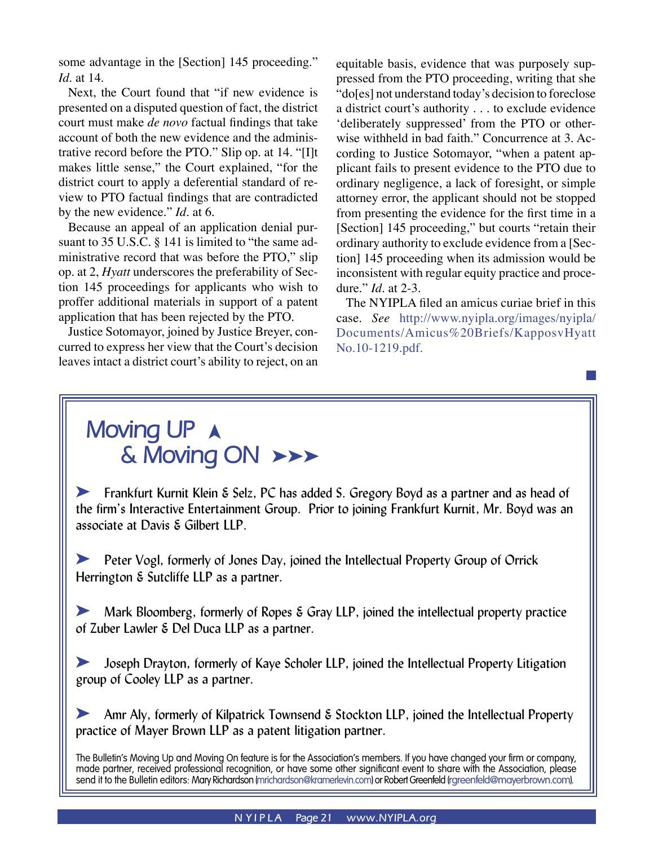some advantage in the [Section] 145 proceeding." *Id*. at 14.

Next, the Court found that "if new evidence is presented on a disputed question of fact, the district court must make *de novo* factual findings that take account of both the new evidence and the administrative record before the PTO." Slip op. at 14. "[I]t makes little sense," the Court explained, "for the district court to apply a deferential standard of review to PTO factual findings that are contradicted by the new evidence." *Id*. at 6.

Because an appeal of an application denial pursuant to 35 U.S.C. § 141 is limited to "the same administrative record that was before the PTO," slip op. at 2, *Hyatt* underscores the preferability of Section 145 proceedings for applicants who wish to proffer additional materials in support of a patent application that has been rejected by the PTO.

Justice Sotomayor, joined by Justice Breyer, concurred to express her view that the Court's decision leaves intact a district court's ability to reject, on an equitable basis, evidence that was purposely suppressed from the PTO proceeding, writing that she "do[es] not understand today's decision to foreclose a district court's authority . . . to exclude evidence 'deliberately suppressed' from the PTO or otherwise withheld in bad faith." Concurrence at 3. According to Justice Sotomayor, "when a patent applicant fails to present evidence to the PTO due to ordinary negligence, a lack of foresight, or simple attorney error, the applicant should not be stopped from presenting the evidence for the first time in a [Section] 145 proceeding," but courts "retain their ordinary authority to exclude evidence from a [Section] 145 proceeding when its admission would be inconsistent with regular equity practice and procedure." *Id*. at 2-3.

The NYIPLA filed an amicus curiae brief in this case. *See* [http://www.nyipla.org/images/nyipla/](http://www.nyipla.org/images/nyipla/Documents/Amicus%20Briefs/KapposvHyattNo.10-1219.pdf) [Documents/Amicus%20Briefs/KapposvHyatt](http://www.nyipla.org/images/nyipla/Documents/Amicus%20Briefs/KapposvHyattNo.10-1219.pdf) [No.10-1219.pdf](http://www.nyipla.org/images/nyipla/Documents/Amicus%20Briefs/KapposvHyattNo.10-1219.pdf).

# **Moving UP A** & Moving ON  $\rightarrow\rightarrow$

**Example 1** Frankfurt Kurnit Klein & Selz, PC has added S. Gregory Boyd as a partner and as head of the firm's Interactive Entertainment Group. Prior to joining Frankfurt Kurnit, Mr. Boyd was an associate at Davis & Gilbert LLP.

**EXECUTE:** Peter Vogl, formerly of Jones Day, joined the Intellectual Property Group of Orrick Herrington & Sutcliffe LLP as a partner.

Mark Bloomberg, formerly of Ropes & Gray LLP, joined the intellectual property practice of Zuber Lawler & Del Duca LLP as a partner.

Joseph Drayton, formerly of Kaye Scholer LLP, joined the Intellectual Property Litigation group of Cooley LLP as a partner.

 $\blacktriangleright$  Amr Aly, formerly of Kilpatrick Townsend & Stockton LLP, joined the Intellectual Property practice of Mayer Brown LLP as a patent litigation partner.

The Bulletin's Moving Up and Moving On feature is for the Association's members. If you have changed your firm or company, made partner, received professional recognition, or have some other significant event to share with the Association, please send it to the Bulletin editors: Mary Richardson (mrichardson@kramerlevin.com) or Robert Greenfeld (rgreenfeld@mayerbrown.com).

#### **N YIPLA** Page 21 www.NYIPLA.org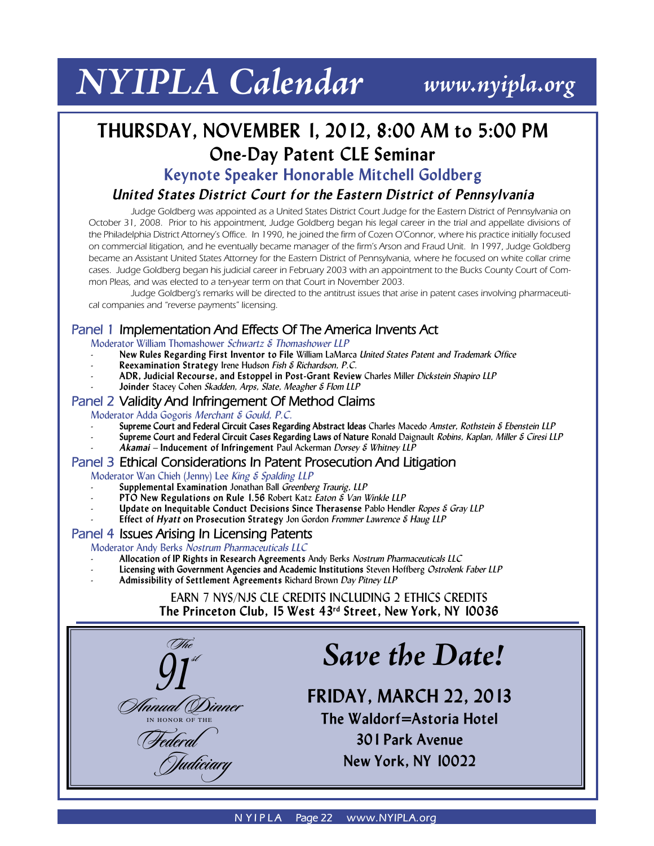# *NYIPLA Calendar www.nyipla.org*

# **THURSDAY, NOVEMBER 1, 2012, 8:00 AM to 5:00 PM One-Day Patent CLE Seminar**

**Keynote Speaker Honorable Mitchell Goldberg**

#### *United States District Court for the Eastern District of Pennsylvania*

Judge Goldberg was appointed as a United States District Court Judge for the Eastern District of Pennsylvania on October 31, 2008. Prior to his appointment, Judge Goldberg began his legal career in the trial and appellate divisions of the Philadelphia District Attorney's Office. In 1990, he joined the firm of Cozen O'Connor, where his practice initially focused on commercial litigation, and he eventually became manager of the firm's Arson and Fraud Unit. In 1997, Judge Goldberg became an Assistant United States Attorney for the Eastern District of Pennsylvania, where he focused on white collar crime cases. Judge Goldberg began his judicial career in February 2003 with an appointment to the Bucks County Court of Common Pleas, and was elected to a ten-year term on that Court in November 2003.

 Judge Goldberg's remarks will be directed to the antitrust issues that arise in patent cases involving pharmaceutical companies and "reverse payments" licensing.

#### **Panel 1 Implementation And Effects Of The America Invents Act**

Moderator William Thomashower *Schwartz & Thomashower LLP*

- **New Rules Regarding First Inventor to File** William LaMarca *United States Patent and Trademark Office*
- **Reexamination Strategy** Irene Hudson *Fish & Richardson, P.C.*
- **ADR, Judicial Recourse, and Estoppel in Post-Grant Review** Charles Miller *Dickstein Shapiro LLP*
- **Joinder** Stacey Cohen *Skadden, Arps, Slate, Meagher & Flom LLP*

#### **Panel 2 Validity And Infringement Of Method Claims**

Moderator Adda Gogoris *Merchant & Gould, P.C.* 

- **Supreme Court and Federal Circuit Cases Regarding Abstract Ideas** Charles Macedo *Amster, Rothstein & Ebenstein LLP*
- **Supreme Court and Federal Circuit Cases Regarding Laws of Nature** Ronald Daignault *Robins, Kaplan, Miller & Ciresi LLP*
- *Akamai* **Inducement of Infringement** Paul Ackerman *Dorsey & Whitney LLP*

#### **Panel 3 Ethical Considerations In Patent Prosecution And Litigation**

Moderator Wan Chieh (Jenny) Lee *King & Spalding LLP*

- **Supplemental Examination** Jonathan Ball *Greenberg Traurig, LLP*
- **PTO New Regulations on Rule 1.56** Robert Katz *Eaton & Van Winkle LLP*
- **Update on Inequitable Conduct Decisions Since Therasense** Pablo Hendler *Ropes & Gray LLP*
- **Effect of** *Hyatt* **on Prosecution Strategy** Jon Gordon *Frommer Lawrence & Haug LLP*

#### **Panel 4 Issues Arising In Licensing Patents**

Moderator Andy Berks *Nostrum Pharmaceuticals LLC*

- **Allocation of IP Rights in Research Agreements** Andy Berks *Nostrum Pharmaceuticals LLC*
- **Licensing with Government Agencies and Academic Institutions** Steven Hoffberg *Ostrolenk Faber LLP*
- **Admissibility of Settlement Agreements** Richard Brown *Day Pitney LLP*

EARN 7 NYS/NJS CLE CREDITS INCLUDING 2 ETHICS CREDITS **The Princeton Club, 15 West 43rd Street, New York, NY 10036**



# *Save the Date!*

**FRIDAY, MARCH 22, 2013 The Waldorf=Astoria Hotel 301 Park Avenue New York, NY 10022**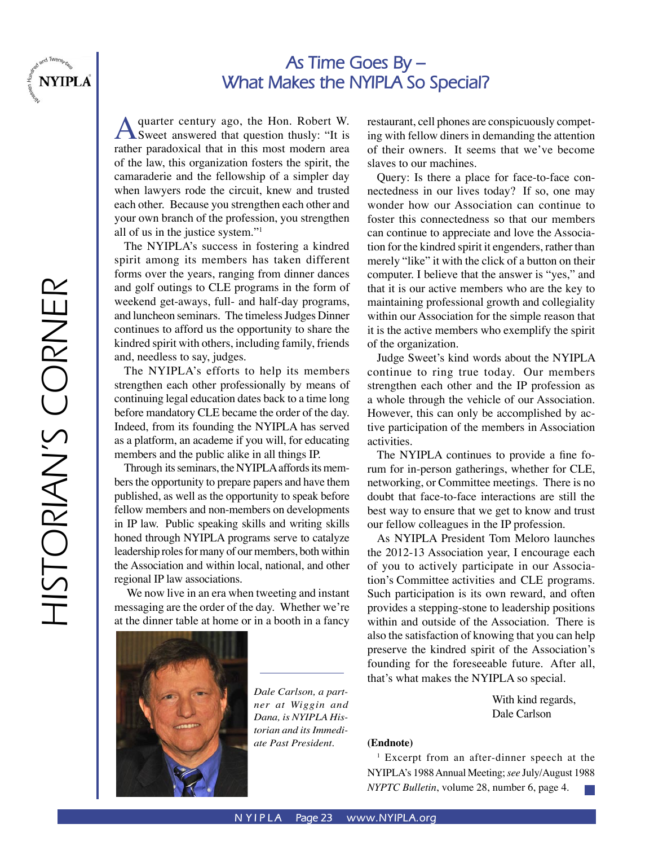

# **As Time Goes By – What Makes the NYIPLA So Special?**

A quarter century ago, the Hon. Robert W.<br>Sweet answered that question thusly: "It is rather paradoxical that in this most modern area of the law, this organization fosters the spirit, the camaraderie and the fellowship of a simpler day when lawyers rode the circuit, knew and trusted each other. Because you strengthen each other and your own branch of the profession, you strengthen all of us in the justice system."1

The NYIPLA's success in fostering a kindred spirit among its members has taken different forms over the years, ranging from dinner dances and golf outings to CLE programs in the form of weekend get-aways, full- and half-day programs, and luncheon seminars. The timeless Judges Dinner continues to afford us the opportunity to share the kindred spirit with others, including family, friends and, needless to say, judges.

The NYIPLA's efforts to help its members strengthen each other professionally by means of continuing legal education dates back to a time long before mandatory CLE became the order of the day. Indeed, from its founding the NYIPLA has served as a platform, an academe if you will, for educating members and the public alike in all things IP.

Through its seminars, the NYIPLA affords its members the opportunity to prepare papers and have them published, as well as the opportunity to speak before fellow members and non-members on developments in IP law. Public speaking skills and writing skills honed through NYIPLA programs serve to catalyze leadership roles for many of our members, both within the Association and within local, national, and other regional IP law associations.

 We now live in an era when tweeting and instant messaging are the order of the day. Whether we're at the dinner table at home or in a booth in a fancy



*Dale Carlson, a partner at Wiggin and Dana, is NYIPLA Historian and its Immediate Past President.*

restaurant, cell phones are conspicuously competing with fellow diners in demanding the attention of their owners. It seems that we've become slaves to our machines.

Query: Is there a place for face-to-face connectedness in our lives today? If so, one may wonder how our Association can continue to foster this connectedness so that our members can continue to appreciate and love the Association for the kindred spirit it engenders, rather than merely "like" it with the click of a button on their computer. I believe that the answer is "yes," and that it is our active members who are the key to maintaining professional growth and collegiality within our Association for the simple reason that it is the active members who exemplify the spirit of the organization.

Judge Sweet's kind words about the NYIPLA continue to ring true today. Our members strengthen each other and the IP profession as a whole through the vehicle of our Association. However, this can only be accomplished by active participation of the members in Association activities.

The NYIPLA continues to provide a fine forum for in-person gatherings, whether for CLE, networking, or Committee meetings. There is no doubt that face-to-face interactions are still the best way to ensure that we get to know and trust our fellow colleagues in the IP profession.

As NYIPLA President Tom Meloro launches the 2012-13 Association year, I encourage each of you to actively participate in our Association's Committee activities and CLE programs. Such participation is its own reward, and often provides a stepping-stone to leadership positions within and outside of the Association. There is also the satisfaction of knowing that you can help preserve the kindred spirit of the Association's founding for the foreseeable future. After all, that's what makes the NYIPLA so special.

> With kind regards, Dale Carlson

#### **(Endnote)**

1 Excerpt from an after-dinner speech at the NYIPLA's 1988 Annual Meeting; *see* July/August 1988 *NYPTC Bulletin*, volume 28, number 6, page 4.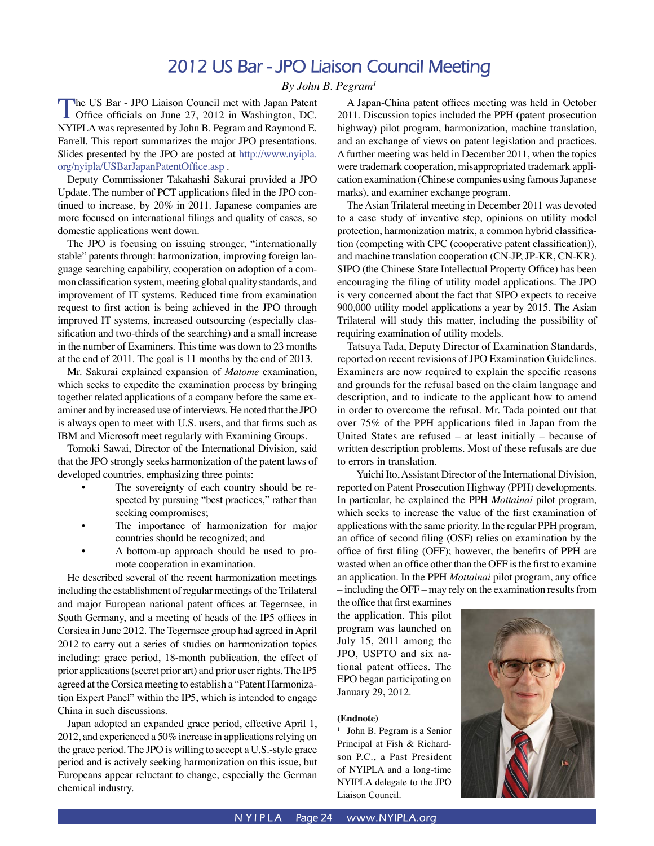## **2012 US Bar - JPO Liaison Council Meeting**

*By John B. Pegram1*

The US Bar - JPO Liaison Council met with Japan Patent<br>
Office officials on June 27, 2012 in Washington, DC. NYIPLA was represented by John B. Pegram and Raymond E. Farrell. This report summarizes the major JPO presentations. Slides presented by the JPO are posted at http://www.nyipla. org/nyipla/USBarJapanPatentOffice.asp .

 Deputy Commissioner Takahashi Sakurai provided a JPO Update. The number of PCT applications filed in the JPO continued to increase, by 20% in 2011. Japanese companies are more focused on international filings and quality of cases, so domestic applications went down.

 The JPO is focusing on issuing stronger, "internationally stable" patents through: harmonization, improving foreign language searching capability, cooperation on adoption of a common classification system, meeting global quality standards, and improvement of IT systems. Reduced time from examination request to first action is being achieved in the JPO through improved IT systems, increased outsourcing (especially classification and two-thirds of the searching) and a small increase in the number of Examiners. This time was down to 23 months at the end of 2011. The goal is 11 months by the end of 2013.

 Mr. Sakurai explained expansion of *Matome* examination, which seeks to expedite the examination process by bringing together related applications of a company before the same examiner and by increased use of interviews. He noted that the JPO is always open to meet with U.S. users, and that firms such as IBM and Microsoft meet regularly with Examining Groups.

 Tomoki Sawai, Director of the International Division, said that the JPO strongly seeks harmonization of the patent laws of developed countries, emphasizing three points:

- The sovereignty of each country should be respected by pursuing "best practices," rather than seeking compromises;
- The importance of harmonization for major countries should be recognized; and
- A bottom-up approach should be used to promote cooperation in examination.

He described several of the recent harmonization meetings including the establishment of regular meetings of the Trilateral and major European national patent offices at Tegernsee, in South Germany, and a meeting of heads of the IP5 offices in Corsica in June 2012. The Tegernsee group had agreed in April 2012 to carry out a series of studies on harmonization topics including: grace period, 18-month publication, the effect of prior applications (secret prior art) and prior user rights. The IP5 agreed at the Corsica meeting to establish a "Patent Harmonization Expert Panel" within the IP5, which is intended to engage China in such discussions.

Japan adopted an expanded grace period, effective April 1, 2012, and experienced a 50% increase in applications relying on the grace period. The JPO is willing to accept a U.S.-style grace period and is actively seeking harmonization on this issue, but Europeans appear reluctant to change, especially the German chemical industry.

A Japan-China patent offices meeting was held in October 2011. Discussion topics included the PPH (patent prosecution highway) pilot program, harmonization, machine translation, and an exchange of views on patent legislation and practices. A further meeting was held in December 2011, when the topics were trademark cooperation, misappropriated trademark application examination (Chinese companies using famous Japanese marks), and examiner exchange program.

The Asian Trilateral meeting in December 2011 was devoted to a case study of inventive step, opinions on utility model protection, harmonization matrix, a common hybrid classification (competing with CPC (cooperative patent classification)), and machine translation cooperation (CN-JP, JP-KR, CN-KR). SIPO (the Chinese State Intellectual Property Office) has been encouraging the filing of utility model applications. The JPO is very concerned about the fact that SIPO expects to receive 900,000 utility model applications a year by 2015. The Asian Trilateral will study this matter, including the possibility of requiring examination of utility models.

Tatsuya Tada, Deputy Director of Examination Standards, reported on recent revisions of JPO Examination Guidelines. Examiners are now required to explain the specific reasons and grounds for the refusal based on the claim language and description, and to indicate to the applicant how to amend in order to overcome the refusal. Mr. Tada pointed out that over 75% of the PPH applications filed in Japan from the United States are refused – at least initially – because of written description problems. Most of these refusals are due to errors in translation.

Yuichi Ito, Assistant Director of the International Division, reported on Patent Prosecution Highway (PPH) developments. In particular, he explained the PPH *Mottainai* pilot program, which seeks to increase the value of the first examination of applications with the same priority. In the regular PPH program, an office of second filing (OSF) relies on examination by the office of first filing (OFF); however, the benefits of PPH are wasted when an office other than the OFF is the first to examine an application. In the PPH *Mottainai* pilot program, any office – including the OFF – may rely on the examination results from

the office that first examines the application. This pilot program was launched on July 15, 2011 among the JPO, USPTO and six national patent offices. The EPO began participating on January 29, 2012.

#### **(Endnote)**

<sup>1</sup> John B. Pegram is a Senior Principal at Fish & Richardson P.C., a Past President of NYIPLA and a long-time NYIPLA delegate to the JPO Liaison Council.

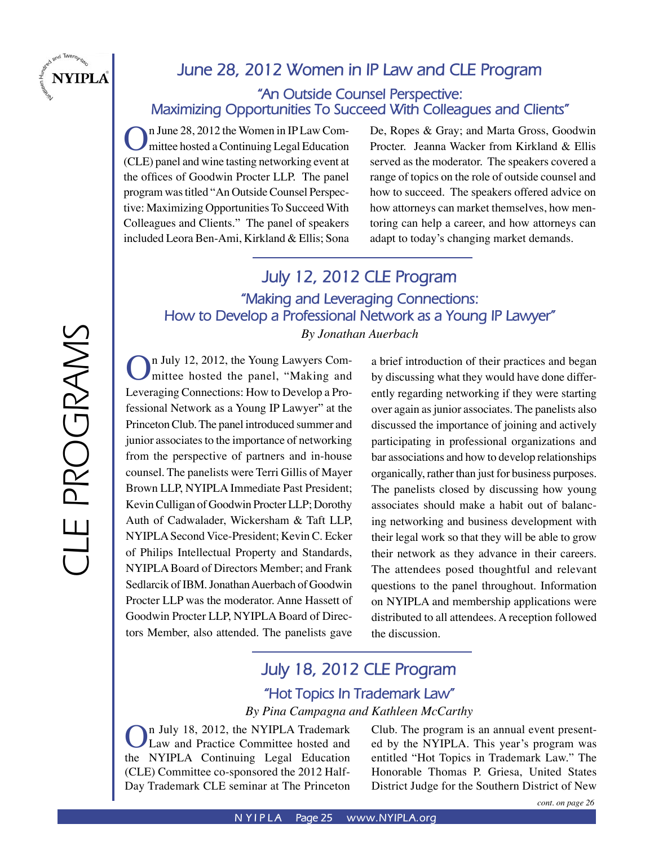

## **June 28, 2012 Women in IP Law and CLE Program**

#### **"An Outside Counsel Perspective: Maximizing Opportunities To Succeed With Colleagues and Clients"**

On June 28, 2012 the Women in IP Law Com-<br>mittee hosted a Continuing Legal Education (CLE) panel and wine tasting networking event at the offices of Goodwin Procter LLP. The panel program was titled "An Outside Counsel Perspective: Maximizing Opportunities To Succeed With Colleagues and Clients." The panel of speakers included Leora Ben-Ami, Kirkland & Ellis; Sona

De, Ropes & Gray; and Marta Gross, Goodwin Procter. Jeanna Wacker from Kirkland & Ellis served as the moderator. The speakers covered a range of topics on the role of outside counsel and how to succeed. The speakers offered advice on how attorneys can market themselves, how mentoring can help a career, and how attorneys can adapt to today's changing market demands.

## **July 12, 2012 CLE Program "Making and Leveraging Connections: How to Develop a Professional Network as a Young IP Lawyer"** *By Jonathan Auerbach*

On July 12, 2012, the Young Lawyers Com-<br>mittee hosted the panel, "Making and Leveraging Connections: How to Develop a Professional Network as a Young IP Lawyer" at the Princeton Club. The panel introduced summer and junior associates to the importance of networking from the perspective of partners and in-house counsel. The panelists were Terri Gillis of Mayer Brown LLP, NYIPLA Immediate Past President; Kevin Culligan of Goodwin Procter LLP; Dorothy Auth of Cadwalader, Wickersham & Taft LLP, NYIPLA Second Vice-President; Kevin C. Ecker of Philips Intellectual Property and Standards, NYIPLA Board of Directors Member; and Frank Sedlarcik of IBM. Jonathan Auerbach of Goodwin Procter LLP was the moderator. Anne Hassett of Goodwin Procter LLP, NYIPLA Board of Directors Member, also attended. The panelists gave

a brief introduction of their practices and began by discussing what they would have done differently regarding networking if they were starting over again as junior associates. The panelists also discussed the importance of joining and actively participating in professional organizations and bar associations and how to develop relationships organically, rather than just for business purposes. The panelists closed by discussing how young associates should make a habit out of balancing networking and business development with their legal work so that they will be able to grow their network as they advance in their careers. The attendees posed thoughtful and relevant questions to the panel throughout. Information on NYIPLA and membership applications were distributed to all attendees. A reception followed the discussion.

# **July 18, 2012 CLE Program "Hot Topics In Trademark Law"**

*By Pina Campagna and Kathleen McCarthy*

n July 18, 2012, the NYIPLA Trademark Law and Practice Committee hosted and the NYIPLA Continuing Legal Education (CLE) Committee co-sponsored the 2012 Half-Day Trademark CLE seminar at The Princeton

Club. The program is an annual event presented by the NYIPLA. This year's program was entitled "Hot Topics in Trademark Law." The Honorable Thomas P. Griesa, United States District Judge for the Southern District of New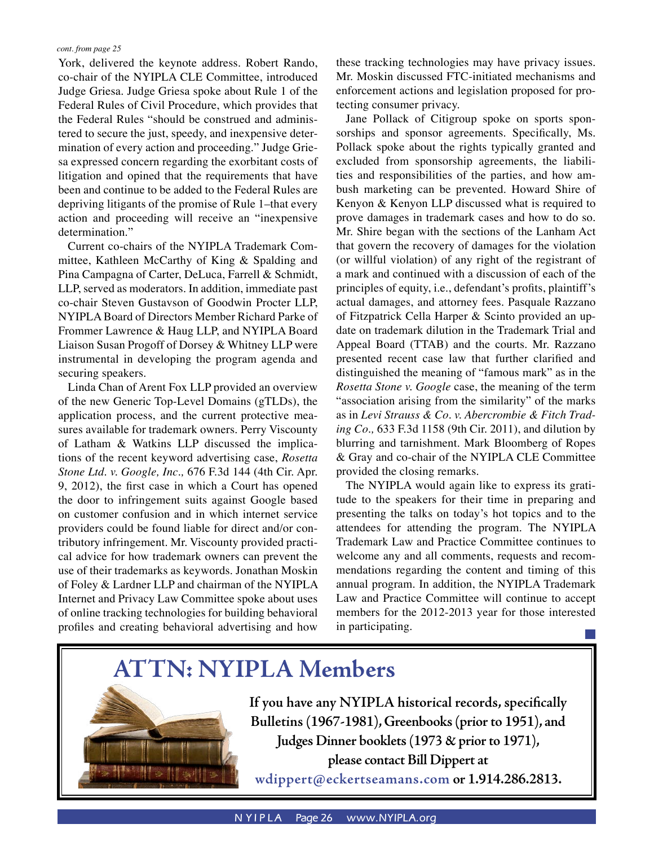York, delivered the keynote address. Robert Rando, co-chair of the NYIPLA CLE Committee, introduced Judge Griesa. Judge Griesa spoke about Rule 1 of the Federal Rules of Civil Procedure, which provides that the Federal Rules "should be construed and administered to secure the just, speedy, and inexpensive determination of every action and proceeding." Judge Griesa expressed concern regarding the exorbitant costs of litigation and opined that the requirements that have been and continue to be added to the Federal Rules are depriving litigants of the promise of Rule 1–that every action and proceeding will receive an "inexpensive determination."

Current co-chairs of the NYIPLA Trademark Committee, Kathleen McCarthy of King & Spalding and Pina Campagna of Carter, DeLuca, Farrell & Schmidt, LLP, served as moderators. In addition, immediate past co-chair Steven Gustavson of Goodwin Procter LLP, NYIPLA Board of Directors Member Richard Parke of Frommer Lawrence & Haug LLP, and NYIPLA Board Liaison Susan Progoff of Dorsey & Whitney LLP were instrumental in developing the program agenda and securing speakers.

Linda Chan of Arent Fox LLP provided an overview of the new Generic Top-Level Domains (gTLDs), the application process, and the current protective measures available for trademark owners. Perry Viscounty of Latham & Watkins LLP discussed the implications of the recent keyword advertising case, *Rosetta Stone Ltd. v. Google, Inc.,* 676 F.3d 144 (4th Cir. Apr. 9, 2012), the first case in which a Court has opened the door to infringement suits against Google based on customer confusion and in which internet service providers could be found liable for direct and/or contributory infringement. Mr. Viscounty provided practical advice for how trademark owners can prevent the use of their trademarks as keywords. Jonathan Moskin of Foley & Lardner LLP and chairman of the NYIPLA Internet and Privacy Law Committee spoke about uses of online tracking technologies for building behavioral profiles and creating behavioral advertising and how

these tracking technologies may have privacy issues. Mr. Moskin discussed FTC-initiated mechanisms and enforcement actions and legislation proposed for protecting consumer privacy.

Jane Pollack of Citigroup spoke on sports sponsorships and sponsor agreements. Specifically, Ms. Pollack spoke about the rights typically granted and excluded from sponsorship agreements, the liabilities and responsibilities of the parties, and how ambush marketing can be prevented. Howard Shire of Kenyon & Kenyon LLP discussed what is required to prove damages in trademark cases and how to do so. Mr. Shire began with the sections of the Lanham Act that govern the recovery of damages for the violation (or willful violation) of any right of the registrant of a mark and continued with a discussion of each of the principles of equity, i.e., defendant's profits, plaintiff's actual damages, and attorney fees. Pasquale Razzano of Fitzpatrick Cella Harper & Scinto provided an update on trademark dilution in the Trademark Trial and Appeal Board (TTAB) and the courts. Mr. Razzano presented recent case law that further clarified and distinguished the meaning of "famous mark" as in the *Rosetta Stone v. Google* case, the meaning of the term "association arising from the similarity" of the marks as in *Levi Strauss & Co. v. Abercrombie & Fitch Trading Co.,* 633 F.3d 1158 (9th Cir. 2011), and dilution by blurring and tarnishment. Mark Bloomberg of Ropes & Gray and co-chair of the NYIPLA CLE Committee provided the closing remarks.

The NYIPLA would again like to express its gratitude to the speakers for their time in preparing and presenting the talks on today's hot topics and to the attendees for attending the program. The NYIPLA Trademark Law and Practice Committee continues to welcome any and all comments, requests and recommendations regarding the content and timing of this annual program. In addition, the NYIPLA Trademark Law and Practice Committee will continue to accept members for the 2012-2013 year for those interested in participating.



**If you have any NYIPLA historical records, specifically Bulletins (1967-1981), Greenbooks (prior to 1951), and Judges Dinner booklets (1973 & prior to 1971), please contact Bill Dippert at wdippert@eckertseamans.com or 1.914.286.2813.**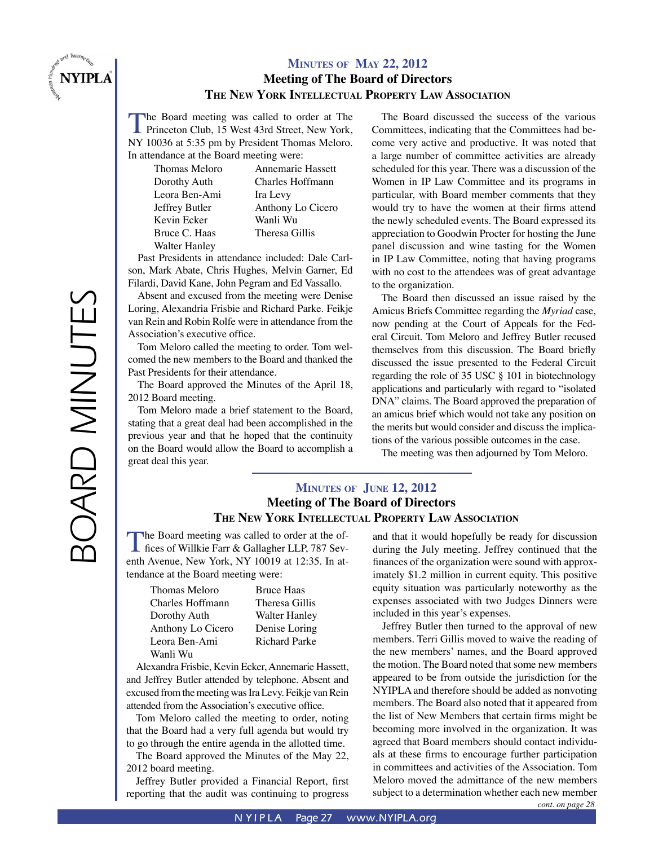

#### **MINUTES OF MAY 22, 2012 Meeting of The Board of Directors THE NEW YORK INTELLECTUAL PROPERTY LAW ASSOCIATION**

The Board meeting was called to order at The Princeton Club, 15 West 43rd Street, New York, NY 10036 at 5:35 pm by President Thomas Meloro. In attendance at the Board meeting were:

> Thomas Meloro Dorothy Auth Leora Ben-Ami Jeffrey Butler Kevin Ecker Bruce C. Haas Walter Hanley

Annemarie Hassett Charles Hoffmann Ira Levy Anthony Lo Cicero Wanli Wu Theresa Gillis

Past Presidents in attendance included: Dale Carlson, Mark Abate, Chris Hughes, Melvin Garner, Ed Filardi, David Kane, John Pegram and Ed Vassallo.

Absent and excused from the meeting were Denise Loring, Alexandria Frisbie and Richard Parke. Feikje van Rein and Robin Rolfe were in attendance from the Association's executive office.

Tom Meloro called the meeting to order. Tom welcomed the new members to the Board and thanked the Past Presidents for their attendance.

The Board approved the Minutes of the April 18, 2012 Board meeting.

Tom Meloro made a brief statement to the Board, stating that a great deal had been accomplished in the previous year and that he hoped that the continuity on the Board would allow the Board to accomplish a great deal this year.

The Board discussed the success of the various Committees, indicating that the Committees had become very active and productive. It was noted that a large number of committee activities are already scheduled for this year. There was a discussion of the Women in IP Law Committee and its programs in particular, with Board member comments that they would try to have the women at their firms attend the newly scheduled events. The Board expressed its appreciation to Goodwin Procter for hosting the June panel discussion and wine tasting for the Women in IP Law Committee, noting that having programs with no cost to the attendees was of great advantage to the organization.

The Board then discussed an issue raised by the Amicus Briefs Committee regarding the *Myriad* case, now pending at the Court of Appeals for the Federal Circuit. Tom Meloro and Jeffrey Butler recused themselves from this discussion. The Board briefly discussed the issue presented to the Federal Circuit regarding the role of 35 USC § 101 in biotechnology applications and particularly with regard to "isolated DNA" claims. The Board approved the preparation of an amicus brief which would not take any position on the merits but would consider and discuss the implications of the various possible outcomes in the case.

The meeting was then adjourned by Tom Meloro.

#### **MINUTES OF JUNE 12, 2012 Meeting of The Board of Directors THE NEW YORK INTELLECTUAL PROPERTY LAW ASSOCIATION**

The Board meeting was called to order at the of-<br>fices of Willkie Farr & Gallagher LLP, 787 Seventh Avenue, New York, NY 10019 at 12:35. In attendance at the Board meeting were:

> Thomas Meloro Charles Hoffmann Dorothy Auth Anthony Lo Cicero Leora Ben-Ami Wanli Wu

Bruce Haas Theresa Gillis Walter Hanley Denise Loring Richard Parke

Alexandra Frisbie, Kevin Ecker, Annemarie Hassett, and Jeffrey Butler attended by telephone. Absent and excused from the meeting was Ira Levy. Feikje van Rein attended from the Association's executive office.

Tom Meloro called the meeting to order, noting that the Board had a very full agenda but would try to go through the entire agenda in the allotted time.

The Board approved the Minutes of the May 22, 2012 board meeting.

Jeffrey Butler provided a Financial Report, first reporting that the audit was continuing to progress and that it would hopefully be ready for discussion during the July meeting. Jeffrey continued that the finances of the organization were sound with approximately \$1.2 million in current equity. This positive equity situation was particularly noteworthy as the expenses associated with two Judges Dinners were included in this year's expenses.

*cont. on page 28* Jeffrey Butler then turned to the approval of new members. Terri Gillis moved to waive the reading of the new members' names, and the Board approved the motion. The Board noted that some new members appeared to be from outside the jurisdiction for the NYIPLA and therefore should be added as nonvoting members. The Board also noted that it appeared from the list of New Members that certain firms might be becoming more involved in the organization. It was agreed that Board members should contact individuals at these firms to encourage further participation in committees and activities of the Association. Tom Meloro moved the admittance of the new members subject to a determination whether each new member

BOARD MINUTES BOARD MINUTES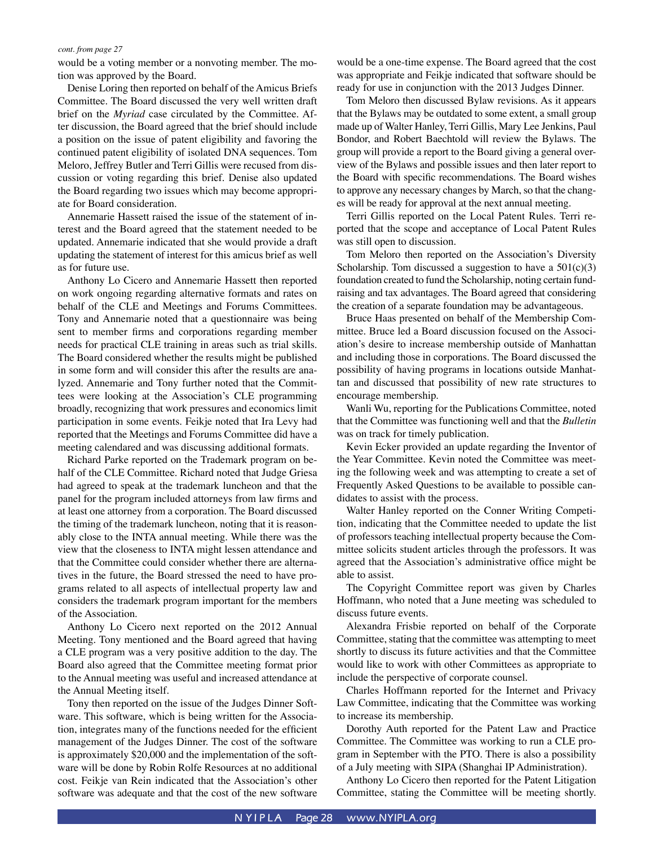would be a voting member or a nonvoting member. The motion was approved by the Board.

Denise Loring then reported on behalf of the Amicus Briefs Committee. The Board discussed the very well written draft brief on the *Myriad* case circulated by the Committee. After discussion, the Board agreed that the brief should include a position on the issue of patent eligibility and favoring the continued patent eligibility of isolated DNA sequences. Tom Meloro, Jeffrey Butler and Terri Gillis were recused from discussion or voting regarding this brief. Denise also updated the Board regarding two issues which may become appropriate for Board consideration.

Annemarie Hassett raised the issue of the statement of interest and the Board agreed that the statement needed to be updated. Annemarie indicated that she would provide a draft updating the statement of interest for this amicus brief as well as for future use.

Anthony Lo Cicero and Annemarie Hassett then reported on work ongoing regarding alternative formats and rates on behalf of the CLE and Meetings and Forums Committees. Tony and Annemarie noted that a questionnaire was being sent to member firms and corporations regarding member needs for practical CLE training in areas such as trial skills. The Board considered whether the results might be published in some form and will consider this after the results are analyzed. Annemarie and Tony further noted that the Committees were looking at the Association's CLE programming broadly, recognizing that work pressures and economics limit participation in some events. Feikje noted that Ira Levy had reported that the Meetings and Forums Committee did have a meeting calendared and was discussing additional formats.

Richard Parke reported on the Trademark program on behalf of the CLE Committee. Richard noted that Judge Griesa had agreed to speak at the trademark luncheon and that the panel for the program included attorneys from law firms and at least one attorney from a corporation. The Board discussed the timing of the trademark luncheon, noting that it is reasonably close to the INTA annual meeting. While there was the view that the closeness to INTA might lessen attendance and that the Committee could consider whether there are alternatives in the future, the Board stressed the need to have programs related to all aspects of intellectual property law and considers the trademark program important for the members of the Association.

Anthony Lo Cicero next reported on the 2012 Annual Meeting. Tony mentioned and the Board agreed that having a CLE program was a very positive addition to the day. The Board also agreed that the Committee meeting format prior to the Annual meeting was useful and increased attendance at the Annual Meeting itself.

Tony then reported on the issue of the Judges Dinner Software. This software, which is being written for the Association, integrates many of the functions needed for the efficient management of the Judges Dinner. The cost of the software is approximately \$20,000 and the implementation of the software will be done by Robin Rolfe Resources at no additional cost. Feikje van Rein indicated that the Association's other software was adequate and that the cost of the new software would be a one-time expense. The Board agreed that the cost was appropriate and Feikje indicated that software should be ready for use in conjunction with the 2013 Judges Dinner.

Tom Meloro then discussed Bylaw revisions. As it appears that the Bylaws may be outdated to some extent, a small group made up of Walter Hanley, Terri Gillis, Mary Lee Jenkins, Paul Bondor, and Robert Baechtold will review the Bylaws. The group will provide a report to the Board giving a general overview of the Bylaws and possible issues and then later report to the Board with specific recommendations. The Board wishes to approve any necessary changes by March, so that the changes will be ready for approval at the next annual meeting.

Terri Gillis reported on the Local Patent Rules. Terri reported that the scope and acceptance of Local Patent Rules was still open to discussion.

Tom Meloro then reported on the Association's Diversity Scholarship. Tom discussed a suggestion to have a  $501(c)(3)$ foundation created to fund the Scholarship, noting certain fundraising and tax advantages. The Board agreed that considering the creation of a separate foundation may be advantageous.

Bruce Haas presented on behalf of the Membership Committee. Bruce led a Board discussion focused on the Association's desire to increase membership outside of Manhattan and including those in corporations. The Board discussed the possibility of having programs in locations outside Manhattan and discussed that possibility of new rate structures to encourage membership.

Wanli Wu, reporting for the Publications Committee, noted that the Committee was functioning well and that the *Bulletin* was on track for timely publication.

Kevin Ecker provided an update regarding the Inventor of the Year Committee. Kevin noted the Committee was meeting the following week and was attempting to create a set of Frequently Asked Questions to be available to possible candidates to assist with the process.

Walter Hanley reported on the Conner Writing Competition, indicating that the Committee needed to update the list of professors teaching intellectual property because the Committee solicits student articles through the professors. It was agreed that the Association's administrative office might be able to assist.

The Copyright Committee report was given by Charles Hoffmann, who noted that a June meeting was scheduled to discuss future events.

Alexandra Frisbie reported on behalf of the Corporate Committee, stating that the committee was attempting to meet shortly to discuss its future activities and that the Committee would like to work with other Committees as appropriate to include the perspective of corporate counsel.

Charles Hoffmann reported for the Internet and Privacy Law Committee, indicating that the Committee was working to increase its membership.

Dorothy Auth reported for the Patent Law and Practice Committee. The Committee was working to run a CLE program in September with the PTO. There is also a possibility of a July meeting with SIPA (Shanghai IP Administration).

Anthony Lo Cicero then reported for the Patent Litigation Committee, stating the Committee will be meeting shortly.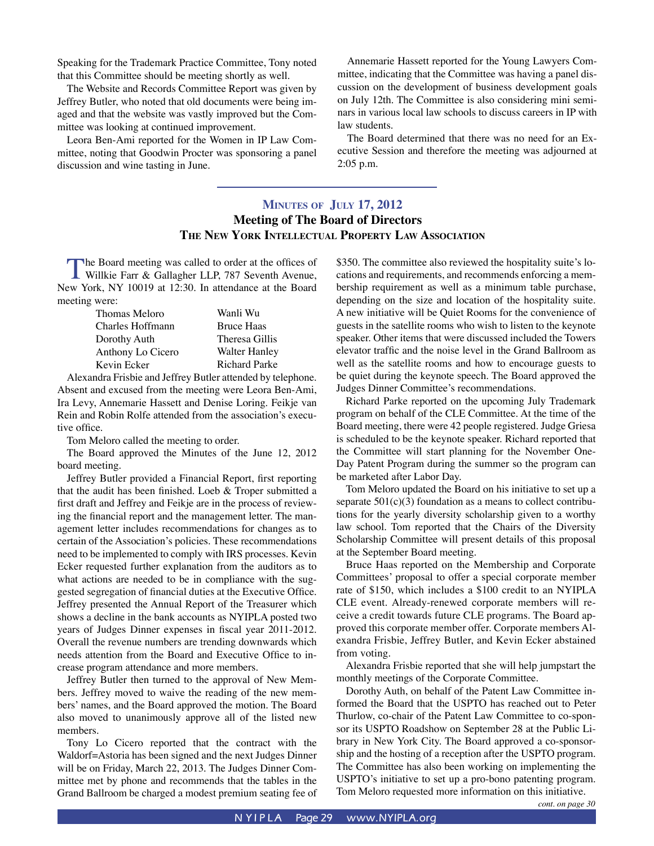Speaking for the Trademark Practice Committee, Tony noted that this Committee should be meeting shortly as well.

The Website and Records Committee Report was given by Jeffrey Butler, who noted that old documents were being imaged and that the website was vastly improved but the Committee was looking at continued improvement.

Leora Ben-Ami reported for the Women in IP Law Committee, noting that Goodwin Procter was sponsoring a panel discussion and wine tasting in June.

Annemarie Hassett reported for the Young Lawyers Committee, indicating that the Committee was having a panel discussion on the development of business development goals on July 12th. The Committee is also considering mini seminars in various local law schools to discuss careers in IP with law students.

The Board determined that there was no need for an Executive Session and therefore the meeting was adjourned at 2:05 p.m.

#### **MINUTES OF JULY 17, 2012 Meeting of The Board of Directors THE NEW YORK INTELLECTUAL PROPERTY LAW ASSOCIATION**

The Board meeting was called to order at the offices of Willkie Farr & Gallagher LLP, 787 Seventh Avenue, New York, NY 10019 at 12:30. In attendance at the Board meeting were:

| Thomas Meloro     | Wanli Wu             |
|-------------------|----------------------|
| Charles Hoffmann  | <b>Bruce Haas</b>    |
| Dorothy Auth      | Theresa Gillis       |
| Anthony Lo Cicero | <b>Walter Hanley</b> |
| Kevin Ecker       | <b>Richard Parke</b> |

Alexandra Frisbie and Jeffrey Butler attended by telephone. Absent and excused from the meeting were Leora Ben-Ami, Ira Levy, Annemarie Hassett and Denise Loring. Feikje van Rein and Robin Rolfe attended from the association's executive office.

Tom Meloro called the meeting to order.

The Board approved the Minutes of the June 12, 2012 board meeting.

Jeffrey Butler provided a Financial Report, first reporting that the audit has been finished. Loeb & Troper submitted a first draft and Jeffrey and Feikje are in the process of reviewing the financial report and the management letter. The management letter includes recommendations for changes as to certain of the Association's policies. These recommendations need to be implemented to comply with IRS processes. Kevin Ecker requested further explanation from the auditors as to what actions are needed to be in compliance with the suggested segregation of financial duties at the Executive Office. Jeffrey presented the Annual Report of the Treasurer which shows a decline in the bank accounts as NYIPLA posted two years of Judges Dinner expenses in fiscal year 2011-2012. Overall the revenue numbers are trending downwards which needs attention from the Board and Executive Office to increase program attendance and more members.

Jeffrey Butler then turned to the approval of New Members. Jeffrey moved to waive the reading of the new members' names, and the Board approved the motion. The Board also moved to unanimously approve all of the listed new members.

Tony Lo Cicero reported that the contract with the Waldorf=Astoria has been signed and the next Judges Dinner will be on Friday, March 22, 2013. The Judges Dinner Committee met by phone and recommends that the tables in the Grand Ballroom be charged a modest premium seating fee of \$350. The committee also reviewed the hospitality suite's locations and requirements, and recommends enforcing a membership requirement as well as a minimum table purchase, depending on the size and location of the hospitality suite. A new initiative will be Quiet Rooms for the convenience of guests in the satellite rooms who wish to listen to the keynote speaker. Other items that were discussed included the Towers elevator traffic and the noise level in the Grand Ballroom as well as the satellite rooms and how to encourage guests to be quiet during the keynote speech. The Board approved the Judges Dinner Committee's recommendations.

Richard Parke reported on the upcoming July Trademark program on behalf of the CLE Committee. At the time of the Board meeting, there were 42 people registered. Judge Griesa is scheduled to be the keynote speaker. Richard reported that the Committee will start planning for the November One-Day Patent Program during the summer so the program can be marketed after Labor Day.

Tom Meloro updated the Board on his initiative to set up a separate  $501(c)(3)$  foundation as a means to collect contributions for the yearly diversity scholarship given to a worthy law school. Tom reported that the Chairs of the Diversity Scholarship Committee will present details of this proposal at the September Board meeting.

Bruce Haas reported on the Membership and Corporate Committees' proposal to offer a special corporate member rate of \$150, which includes a \$100 credit to an NYIPLA CLE event. Already-renewed corporate members will receive a credit towards future CLE programs. The Board approved this corporate member offer. Corporate members Alexandra Frisbie, Jeffrey Butler, and Kevin Ecker abstained from voting.

Alexandra Frisbie reported that she will help jumpstart the monthly meetings of the Corporate Committee.

Dorothy Auth, on behalf of the Patent Law Committee informed the Board that the USPTO has reached out to Peter Thurlow, co-chair of the Patent Law Committee to co-sponsor its USPTO Roadshow on September 28 at the Public Library in New York City. The Board approved a co-sponsorship and the hosting of a reception after the USPTO program. The Committee has also been working on implementing the USPTO's initiative to set up a pro-bono patenting program. Tom Meloro requested more information on this initiative.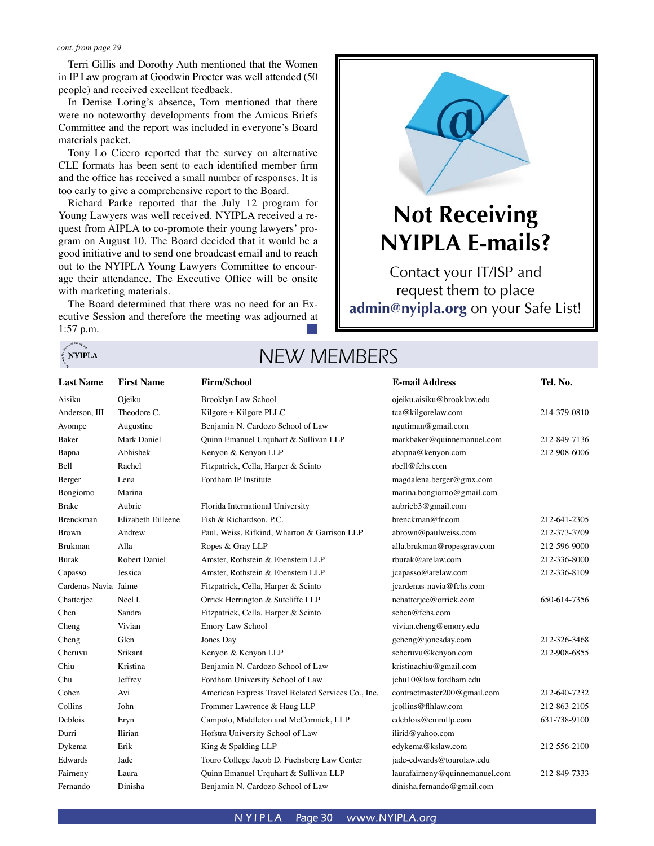**NYIPLA** 

Terri Gillis and Dorothy Auth mentioned that the Women in IP Law program at Goodwin Procter was well attended (50 people) and received excellent feedback.

In Denise Loring's absence, Tom mentioned that there were no noteworthy developments from the Amicus Briefs Committee and the report was included in everyone's Board materials packet.

Tony Lo Cicero reported that the survey on alternative CLE formats has been sent to each identified member firm and the office has received a small number of responses. It is too early to give a comprehensive report to the Board.

Richard Parke reported that the July 12 program for Young Lawyers was well received. NYIPLA received a request from AIPLA to co-promote their young lawyers' program on August 10. The Board decided that it would be a good initiative and to send one broadcast email and to reach out to the NYIPLA Young Lawyers Committee to encourage their attendance. The Executive Office will be onsite with marketing materials.

The Board determined that there was no need for an Executive Session and therefore the meeting was adjourned at 1:57 p.m.



# **Not Receiving NYIPLA E-mails?**

Contact your IT/ISP and request them to place **admin@nyipla.org** on your Safe List!

# NEW MEMBERS

| <b>Last Name</b>     | <b>First Name</b>  | <b>Firm/School</b>                                 | <b>E-mail Address</b>          | Tel. No.     |
|----------------------|--------------------|----------------------------------------------------|--------------------------------|--------------|
| Aisiku               | Ojeiku             | Brooklyn Law School                                | ojeiku.aisiku@brooklaw.edu     |              |
| Anderson, III        | Theodore C.        | Kilgore + Kilgore PLLC                             | tca@kilgorelaw.com             | 214-379-0810 |
| Ayompe               | Augustine          | Benjamin N. Cardozo School of Law                  | ngutiman@gmail.com             |              |
| Baker                | Mark Daniel        | Quinn Emanuel Urquhart & Sullivan LLP              | markbaker@quinnemanuel.com     | 212-849-7136 |
| Bapna                | Abhishek           | Kenyon & Kenyon LLP                                | abapna@kenyon.com              | 212-908-6006 |
| Bell                 | Rachel             | Fitzpatrick, Cella, Harper & Scinto                | rbell@fchs.com                 |              |
| Berger               | Lena               | Fordham IP Institute                               | magdalena.berger@gmx.com       |              |
| Bongiorno            | Marina             |                                                    | marina.bongiorno@gmail.com     |              |
| Brake                | Aubrie             | Florida International University                   | aubrieb3@gmail.com             |              |
| Brenckman            | Elizabeth Eilleene | Fish & Richardson, P.C.                            | brenckman@fr.com               | 212-641-2305 |
| Brown                | Andrew             | Paul, Weiss, Rifkind, Wharton & Garrison LLP       | abrown@paulweiss.com           | 212-373-3709 |
| Brukman              | Alla               | Ropes & Gray LLP                                   | alla.brukman@ropesgray.com     | 212-596-9000 |
| Burak                | Robert Daniel      | Amster, Rothstein & Ebenstein LLP                  | rburak@arelaw.com              | 212-336-8000 |
| Capasso              | Jessica            | Amster, Rothstein & Ebenstein LLP                  | jcapasso@arelaw.com            | 212-336-8109 |
| Cardenas-Navia Jaime |                    | Fitzpatrick, Cella, Harper & Scinto                | jcardenas-navia@fchs.com       |              |
| Chatterjee           | Neel I.            | Orrick Herrington & Sutcliffe LLP                  | nchatterjee@orrick.com         | 650-614-7356 |
| Chen                 | Sandra             | Fitzpatrick, Cella, Harper & Scinto                | schen@fchs.com                 |              |
| Cheng                | Vivian             | <b>Emory Law School</b>                            | vivian.cheng@emory.edu         |              |
| Cheng                | Glen               | Jones Day                                          | gcheng@jonesday.com            | 212-326-3468 |
| Cheruvu              | Srikant            | Kenyon & Kenyon LLP                                | scheruvu@kenyon.com            | 212-908-6855 |
| Chiu                 | Kristina           | Benjamin N. Cardozo School of Law                  | kristinachiu@gmail.com         |              |
| Chu                  | Jeffrey            | Fordham University School of Law                   | jchu10@law.fordham.edu         |              |
| Cohen                | Avi                | American Express Travel Related Services Co., Inc. | contractmaster200@gmail.com    | 212-640-7232 |
| Collins              | John               | Frommer Lawrence & Haug LLP                        | jcollins@flhlaw.com            | 212-863-2105 |
| Deblois              | Eryn               | Campolo, Middleton and McCormick, LLP              | edeblois@cmmllp.com            | 631-738-9100 |
| Durri                | Ilirian            | Hofstra University School of Law                   | ilirid@yahoo.com               |              |
| Dykema               | Erik               | King & Spalding LLP                                | edykema@kslaw.com              | 212-556-2100 |
| Edwards              | Jade               | Touro College Jacob D. Fuchsberg Law Center        | jade-edwards@tourolaw.edu      |              |
| Fairneny             | Laura              | Quinn Emanuel Urquhart & Sullivan LLP              | laurafairneny@quinnemanuel.com | 212-849-7333 |
| Fernando             | Dinisha            | Benjamin N. Cardozo School of Law                  | dinisha.fernando@gmail.com     |              |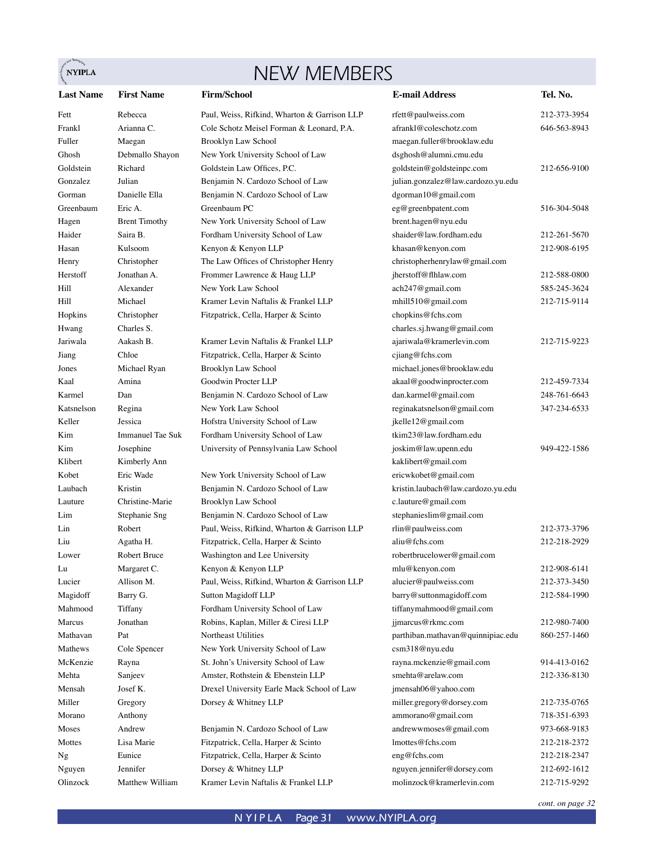# NEW MEMBERS

 $\sum_{i=1}^{n}$ NYIPLA

| <b>Last Name</b> | <b>First Name</b>       | <b>Firm/School</b>                                      | <b>E-mail Address</b>                                  | Tel. No.     |
|------------------|-------------------------|---------------------------------------------------------|--------------------------------------------------------|--------------|
| Fett             | Rebecca                 | Paul, Weiss, Rifkind, Wharton & Garrison LLP            | rfett@paulweiss.com                                    | 212-373-3954 |
| Frankl           | Arianna C.              | Cole Schotz Meisel Forman & Leonard, P.A.               | afrankl@coleschotz.com                                 | 646-563-8943 |
| Fuller           | Maegan                  | Brooklyn Law School                                     | maegan.fuller@brooklaw.edu                             |              |
| Ghosh            | Debmallo Shayon         | New York University School of Law                       | dsghosh@alumni.cmu.edu                                 |              |
| Goldstein        | Richard                 | Goldstein Law Offices, P.C.                             | goldstein@goldsteinpc.com                              | 212-656-9100 |
| Gonzalez         | Julian                  | Benjamin N. Cardozo School of Law                       | julian.gonzalez@law.cardozo.yu.edu                     |              |
| Gorman           | Danielle Ella           | Benjamin N. Cardozo School of Law                       | dgorman10@gmail.com                                    |              |
| Greenbaum        | Eric A.                 | Greenbaum PC                                            | eg@greenbpatent.com                                    | 516-304-5048 |
| Hagen            | <b>Brent Timothy</b>    | New York University School of Law                       | brent.hagen@nyu.edu                                    |              |
| Haider           | Saira B.                | Fordham University School of Law                        | shaider@law.fordham.edu                                | 212-261-5670 |
| Hasan            | Kulsoom                 | Kenyon & Kenyon LLP                                     | khasan@kenyon.com                                      | 212-908-6195 |
| Henry            | Christopher             | The Law Offices of Christopher Henry                    | christopherhenrylaw@gmail.com                          |              |
| Herstoff         | Jonathan A.             | Frommer Lawrence & Haug LLP                             | jherstoff@flhlaw.com                                   | 212-588-0800 |
| Hill             | Alexander               | New York Law School                                     | ach247@gmail.com                                       | 585-245-3624 |
| Hill             | Michael                 | Kramer Levin Naftalis & Frankel LLP                     | mhill510@gmail.com                                     | 212-715-9114 |
| Hopkins          | Christopher             | Fitzpatrick, Cella, Harper & Scinto                     | chopkins@fchs.com                                      |              |
| Hwang            | Charles S.              |                                                         | charles.sj.hwang@gmail.com                             |              |
| Jariwala         | Aakash B.               | Kramer Levin Naftalis & Frankel LLP                     | ajariwala@kramerlevin.com                              | 212-715-9223 |
| Jiang            | Chloe                   | Fitzpatrick, Cella, Harper & Scinto                     | cjiang@fchs.com                                        |              |
| Jones            | Michael Ryan            | Brooklyn Law School                                     | michael.jones@brooklaw.edu                             |              |
| Kaal             | Amina                   | Goodwin Procter LLP                                     | akaal@goodwinprocter.com                               | 212-459-7334 |
| Karmel           | Dan                     | Benjamin N. Cardozo School of Law                       | dan.karmel@gmail.com                                   | 248-761-6643 |
| Katsnelson       | Regina                  | New York Law School                                     | reginakatsnelson@gmail.com                             | 347-234-6533 |
| Keller           | Jessica                 | Hofstra University School of Law                        | jkelle12@gmail.com                                     |              |
| Kim              | <b>Immanuel Tae Suk</b> | Fordham University School of Law                        | tkim23@law.fordham.edu                                 |              |
| Kim              | Josephine               | University of Pennsylvania Law School                   | joskim@law.upenn.edu                                   | 949-422-1586 |
| Klibert          | Kimberly Ann            |                                                         | kaklibert@gmail.com                                    |              |
| Kobet            | Eric Wade               | New York University School of Law                       | ericwkobet@gmail.com                                   |              |
| Laubach          | Kristin                 | Benjamin N. Cardozo School of Law                       | kristin.laubach@law.cardozo.yu.edu                     |              |
| Lauture          | Christine-Marie         | Brooklyn Law School                                     | c.lauture@gmail.com                                    |              |
| Lim              | Stephanie Sng           | Benjamin N. Cardozo School of Law                       | stephanieslim@gmail.com                                |              |
| Lin              | Robert                  | Paul, Weiss, Rifkind, Wharton & Garrison LLP            | rlin@paulweiss.com                                     | 212-373-3796 |
| Liu              | Agatha H.               | Fitzpatrick, Cella, Harper & Scinto                     | aliu@fchs.com                                          | 212-218-2929 |
| Lower            | Robert Bruce            | Washington and Lee University                           | robertbrucelower@gmail.com                             |              |
| Lu               | Margaret C.             | Kenyon & Kenyon LLP                                     | mlu@kenyon.com                                         | 212-908-6141 |
| Lucier           | Allison M.              | Paul, Weiss, Rifkind, Wharton & Garrison LLP            | alucier@paulweiss.com                                  | 212-373-3450 |
|                  |                         |                                                         | barry@suttonmagidoff.com                               | 212-584-1990 |
| Magidoff         | Barry G.                | Sutton Magidoff LLP<br>Fordham University School of Law | tiffanymahmood@gmail.com                               |              |
| Mahmood          | Tiffany                 | Robins, Kaplan, Miller & Ciresi LLP                     |                                                        | 212-980-7400 |
| Marcus           | Jonathan                | Northeast Utilities                                     | jjmarcus@rkmc.com<br>parthiban.mathavan@quinnipiac.edu |              |
| Mathavan         | Pat                     |                                                         |                                                        | 860-257-1460 |
| Mathews          | Cole Spencer            | New York University School of Law                       | csm318@nyu.edu                                         |              |
| McKenzie         | Rayna                   | St. John's University School of Law                     | rayna.mckenzie@gmail.com                               | 914-413-0162 |
| Mehta            | Sanjeev                 | Amster, Rothstein & Ebenstein LLP                       | smehta@arelaw.com                                      | 212-336-8130 |
| Mensah           | Josef K.                | Drexel University Earle Mack School of Law              | jmensah06@yahoo.com                                    |              |
| Miller           | Gregory                 | Dorsey & Whitney LLP                                    | miller.gregory@dorsey.com                              | 212-735-0765 |
| Morano           | Anthony                 |                                                         | ammorano@gmail.com                                     | 718-351-6393 |
| Moses            | Andrew                  | Benjamin N. Cardozo School of Law                       | andrewwmoses@gmail.com                                 | 973-668-9183 |
| Mottes           | Lisa Marie              | Fitzpatrick, Cella, Harper & Scinto                     | lmottes@fchs.com                                       | 212-218-2372 |
| Ng               | Eunice                  | Fitzpatrick, Cella, Harper & Scinto                     | eng@fchs.com                                           | 212-218-2347 |
| Nguyen           | Jennifer                | Dorsey & Whitney LLP                                    | nguyen.jennifer@dorsey.com                             | 212-692-1612 |
| Olinzock         | Matthew William         | Kramer Levin Naftalis & Frankel LLP                     | molinzock@kramerlevin.com                              | 212-715-9292 |

*cont. on page 32*